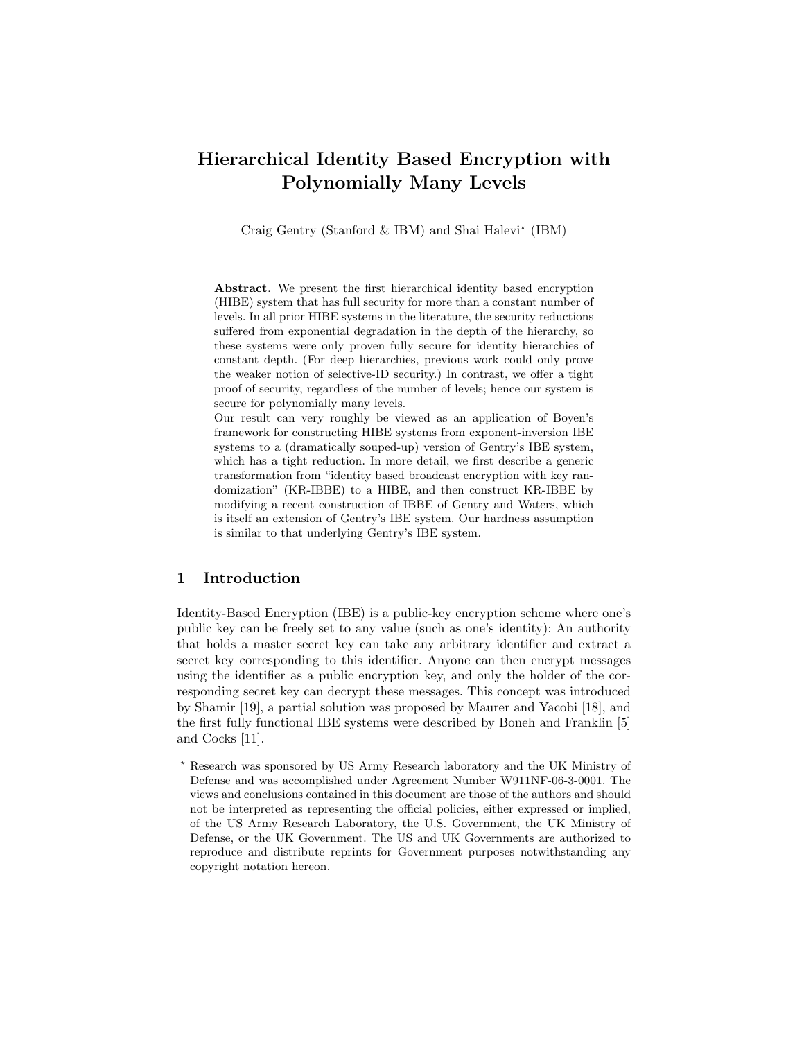# Hierarchical Identity Based Encryption with Polynomially Many Levels

Craig Gentry (Stanford & IBM) and Shai Halevi\* (IBM)

Abstract. We present the first hierarchical identity based encryption (HIBE) system that has full security for more than a constant number of levels. In all prior HIBE systems in the literature, the security reductions suffered from exponential degradation in the depth of the hierarchy, so these systems were only proven fully secure for identity hierarchies of constant depth. (For deep hierarchies, previous work could only prove the weaker notion of selective-ID security.) In contrast, we offer a tight proof of security, regardless of the number of levels; hence our system is secure for polynomially many levels.

Our result can very roughly be viewed as an application of Boyen's framework for constructing HIBE systems from exponent-inversion IBE systems to a (dramatically souped-up) version of Gentry's IBE system, which has a tight reduction. In more detail, we first describe a generic transformation from "identity based broadcast encryption with key randomization" (KR-IBBE) to a HIBE, and then construct KR-IBBE by modifying a recent construction of IBBE of Gentry and Waters, which is itself an extension of Gentry's IBE system. Our hardness assumption is similar to that underlying Gentry's IBE system.

# 1 Introduction

Identity-Based Encryption (IBE) is a public-key encryption scheme where one's public key can be freely set to any value (such as one's identity): An authority that holds a master secret key can take any arbitrary identifier and extract a secret key corresponding to this identifier. Anyone can then encrypt messages using the identifier as a public encryption key, and only the holder of the corresponding secret key can decrypt these messages. This concept was introduced by Shamir [19], a partial solution was proposed by Maurer and Yacobi [18], and the first fully functional IBE systems were described by Boneh and Franklin [5] and Cocks [11].

<sup>?</sup> Research was sponsored by US Army Research laboratory and the UK Ministry of Defense and was accomplished under Agreement Number W911NF-06-3-0001. The views and conclusions contained in this document are those of the authors and should not be interpreted as representing the official policies, either expressed or implied, of the US Army Research Laboratory, the U.S. Government, the UK Ministry of Defense, or the UK Government. The US and UK Governments are authorized to reproduce and distribute reprints for Government purposes notwithstanding any copyright notation hereon.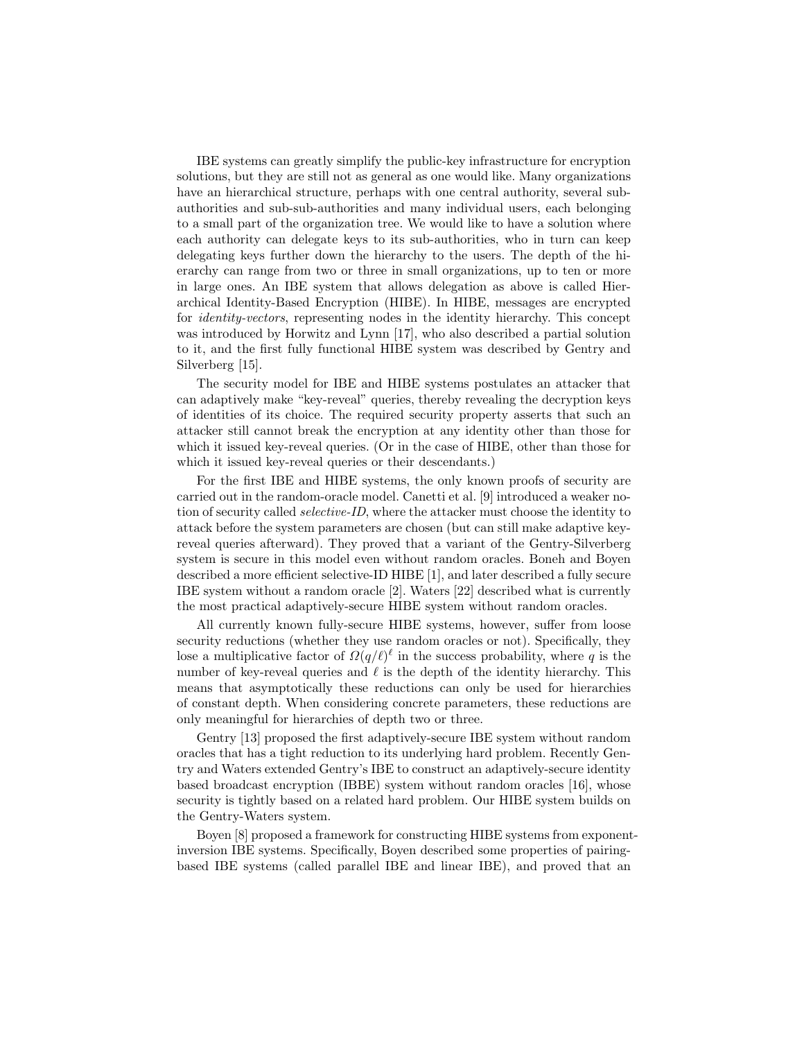IBE systems can greatly simplify the public-key infrastructure for encryption solutions, but they are still not as general as one would like. Many organizations have an hierarchical structure, perhaps with one central authority, several subauthorities and sub-sub-authorities and many individual users, each belonging to a small part of the organization tree. We would like to have a solution where each authority can delegate keys to its sub-authorities, who in turn can keep delegating keys further down the hierarchy to the users. The depth of the hierarchy can range from two or three in small organizations, up to ten or more in large ones. An IBE system that allows delegation as above is called Hierarchical Identity-Based Encryption (HIBE). In HIBE, messages are encrypted for identity-vectors, representing nodes in the identity hierarchy. This concept was introduced by Horwitz and Lynn [17], who also described a partial solution to it, and the first fully functional HIBE system was described by Gentry and Silverberg [15].

The security model for IBE and HIBE systems postulates an attacker that can adaptively make "key-reveal" queries, thereby revealing the decryption keys of identities of its choice. The required security property asserts that such an attacker still cannot break the encryption at any identity other than those for which it issued key-reveal queries. (Or in the case of HIBE, other than those for which it issued key-reveal queries or their descendants.)

For the first IBE and HIBE systems, the only known proofs of security are carried out in the random-oracle model. Canetti et al. [9] introduced a weaker notion of security called selective-ID, where the attacker must choose the identity to attack before the system parameters are chosen (but can still make adaptive keyreveal queries afterward). They proved that a variant of the Gentry-Silverberg system is secure in this model even without random oracles. Boneh and Boyen described a more efficient selective-ID HIBE [1], and later described a fully secure IBE system without a random oracle [2]. Waters [22] described what is currently the most practical adaptively-secure HIBE system without random oracles.

All currently known fully-secure HIBE systems, however, suffer from loose security reductions (whether they use random oracles or not). Specifically, they lose a multiplicative factor of  $\Omega(q/\ell)^{\ell}$  in the success probability, where q is the number of key-reveal queries and  $\ell$  is the depth of the identity hierarchy. This means that asymptotically these reductions can only be used for hierarchies of constant depth. When considering concrete parameters, these reductions are only meaningful for hierarchies of depth two or three.

Gentry [13] proposed the first adaptively-secure IBE system without random oracles that has a tight reduction to its underlying hard problem. Recently Gentry and Waters extended Gentry's IBE to construct an adaptively-secure identity based broadcast encryption (IBBE) system without random oracles [16], whose security is tightly based on a related hard problem. Our HIBE system builds on the Gentry-Waters system.

Boyen [8] proposed a framework for constructing HIBE systems from exponentinversion IBE systems. Specifically, Boyen described some properties of pairingbased IBE systems (called parallel IBE and linear IBE), and proved that an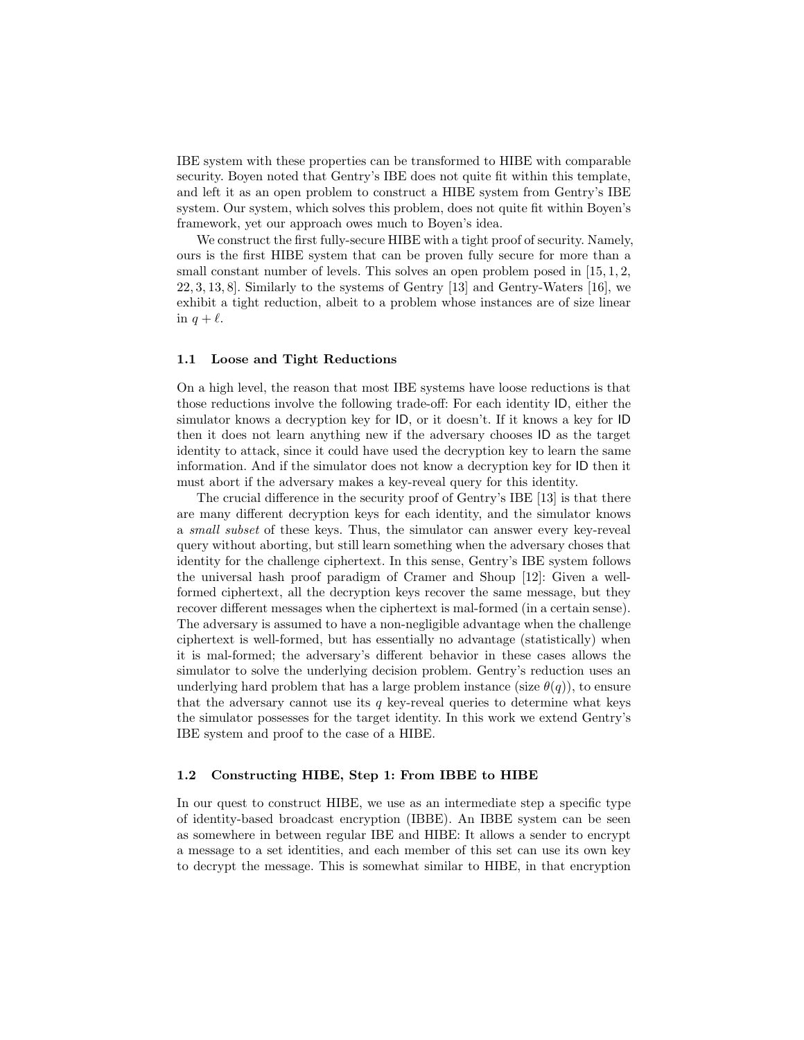IBE system with these properties can be transformed to HIBE with comparable security. Boyen noted that Gentry's IBE does not quite fit within this template, and left it as an open problem to construct a HIBE system from Gentry's IBE system. Our system, which solves this problem, does not quite fit within Boyen's framework, yet our approach owes much to Boyen's idea.

We construct the first fully-secure HIBE with a tight proof of security. Namely, ours is the first HIBE system that can be proven fully secure for more than a small constant number of levels. This solves an open problem posed in  $[15, 1, 2, 3]$ 22, 3, 13, 8]. Similarly to the systems of Gentry [13] and Gentry-Waters [16], we exhibit a tight reduction, albeit to a problem whose instances are of size linear in  $q + \ell$ .

## 1.1 Loose and Tight Reductions

On a high level, the reason that most IBE systems have loose reductions is that those reductions involve the following trade-off: For each identity ID, either the simulator knows a decryption key for ID, or it doesn't. If it knows a key for ID then it does not learn anything new if the adversary chooses ID as the target identity to attack, since it could have used the decryption key to learn the same information. And if the simulator does not know a decryption key for ID then it must abort if the adversary makes a key-reveal query for this identity.

The crucial difference in the security proof of Gentry's IBE [13] is that there are many different decryption keys for each identity, and the simulator knows a small subset of these keys. Thus, the simulator can answer every key-reveal query without aborting, but still learn something when the adversary choses that identity for the challenge ciphertext. In this sense, Gentry's IBE system follows the universal hash proof paradigm of Cramer and Shoup [12]: Given a wellformed ciphertext, all the decryption keys recover the same message, but they recover different messages when the ciphertext is mal-formed (in a certain sense). The adversary is assumed to have a non-negligible advantage when the challenge ciphertext is well-formed, but has essentially no advantage (statistically) when it is mal-formed; the adversary's different behavior in these cases allows the simulator to solve the underlying decision problem. Gentry's reduction uses an underlying hard problem that has a large problem instance (size  $\theta(q)$ ), to ensure that the adversary cannot use its  $q$  key-reveal queries to determine what keys the simulator possesses for the target identity. In this work we extend Gentry's IBE system and proof to the case of a HIBE.

#### 1.2 Constructing HIBE, Step 1: From IBBE to HIBE

In our quest to construct HIBE, we use as an intermediate step a specific type of identity-based broadcast encryption (IBBE). An IBBE system can be seen as somewhere in between regular IBE and HIBE: It allows a sender to encrypt a message to a set identities, and each member of this set can use its own key to decrypt the message. This is somewhat similar to HIBE, in that encryption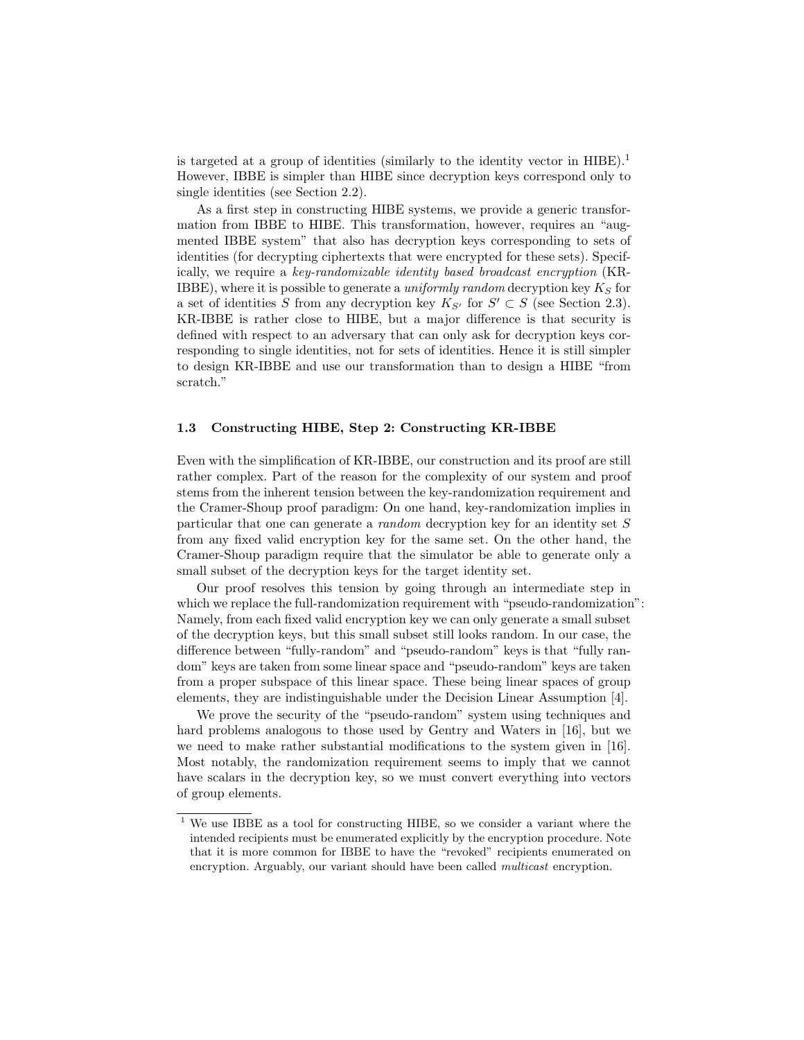is targeted at a group of identities (similarly to the identity vector in  $HIBE$ ).<sup>1</sup> However, IBBE is simpler than HIBE since decryption keys correspond only to single identities (see Section 2.2).

As a first step in constructing HIBE systems, we provide a generic transformation from IBBE to HIBE. This transformation, however, requires an "augmented IBBE system" that also has decryption keys corresponding to sets of identities (for decrypting ciphertexts that were encrypted for these sets). Specifically, we require a key-randomizable identity based broadcast encryption (KR-IBBE), where it is possible to generate a *uniformly random* decryption key  $K_S$  for a set of identities S from any decryption key  $K_{S'}$  for  $S' \subset S$  (see Section 2.3). KR-IBBE is rather close to HIBE, but a major difference is that security is defined with respect to an adversary that can only ask for decryption keys corresponding to single identities, not for sets of identities. Hence it is still simpler to design KR-IBBE and use our transformation than to design a HIBE "from scratch."

## 1.3 Constructing HIBE, Step 2: Constructing KR-IBBE

Even with the simplification of KR-IBBE, our construction and its proof are still rather complex. Part of the reason for the complexity of our system and proof stems from the inherent tension between the key-randomization requirement and the Cramer-Shoup proof paradigm: On one hand, key-randomization implies in particular that one can generate a random decryption key for an identity set S from any fixed valid encryption key for the same set. On the other hand, the Cramer-Shoup paradigm require that the simulator be able to generate only a small subset of the decryption keys for the target identity set.

Our proof resolves this tension by going through an intermediate step in which we replace the full-randomization requirement with "pseudo-randomization": Namely, from each fixed valid encryption key we can only generate a small subset of the decryption keys, but this small subset still looks random. In our case, the difference between "fully-random" and "pseudo-random" keys is that "fully random" keys are taken from some linear space and "pseudo-random" keys are taken from a proper subspace of this linear space. These being linear spaces of group elements, they are indistinguishable under the Decision Linear Assumption [4].

We prove the security of the "pseudo-random" system using techniques and hard problems analogous to those used by Gentry and Waters in [16], but we we need to make rather substantial modifications to the system given in [16]. Most notably, the randomization requirement seems to imply that we cannot have scalars in the decryption key, so we must convert everything into vectors of group elements.

<sup>1</sup> We use IBBE as a tool for constructing HIBE, so we consider a variant where the intended recipients must be enumerated explicitly by the encryption procedure. Note that it is more common for IBBE to have the "revoked" recipients enumerated on encryption. Arguably, our variant should have been called *multicast* encryption.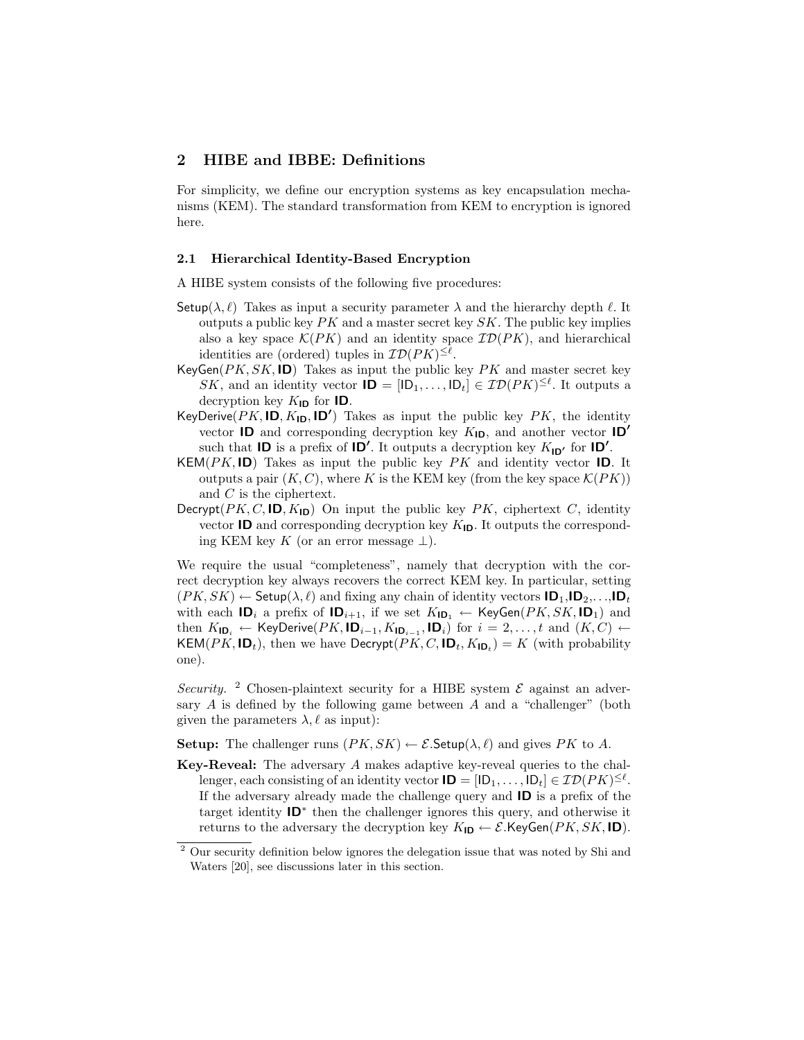## 2 HIBE and IBBE: Definitions

For simplicity, we define our encryption systems as key encapsulation mechanisms (KEM). The standard transformation from KEM to encryption is ignored here.

#### 2.1 Hierarchical Identity-Based Encryption

A HIBE system consists of the following five procedures:

- Setup( $\lambda, \ell$ ) Takes as input a security parameter  $\lambda$  and the hierarchy depth  $\ell$ . It outputs a public key  $PK$  and a master secret key  $SK$ . The public key implies also a key space  $\mathcal{K}(PK)$  and an identity space  $\mathcal{ID}(PK)$ , and hierarchical identities are (ordered) tuples in  $\mathcal{ID}(PK)^{\leq \ell}$ .
- KeyGen( $PK, SK$ , ID) Takes as input the public key  $PK$  and master secret key SK, and an identity vector  $\mathsf{ID} = [\mathsf{ID}_1, \ldots, \mathsf{ID}_t] \in \mathcal{ID}(PK)^{\leq \ell}$ . It outputs a decryption key  $K_{\text{ID}}$  for **ID**.
- KeyDerive $(PK, ID, K_{ID}, ID')$  Takes as input the public key  $PK$ , the identity vector **ID** and corresponding decryption key  $K_{\text{ID}}$ , and another vector **ID<sup>'</sup>** such that **ID** is a prefix of  $ID'$ . It outputs a decryption key  $K_{ID'}$  for  $ID'$ .
- KEM( $PK$ , ID) Takes as input the public key  $PK$  and identity vector ID. It outputs a pair  $(K, C)$ , where K is the KEM key (from the key space  $\mathcal{K}(PK)$ ) and C is the ciphertext.
- Decrypt( $PK, C$ , ID,  $K_{ID}$ ) On input the public key  $PK$ , ciphertext C, identity vector **ID** and corresponding decryption key  $K_{\text{ID}}$ . It outputs the corresponding KEM key K (or an error message  $\perp$ ).

We require the usual "completeness", namely that decryption with the correct decryption key always recovers the correct KEM key. In particular, setting  $(PK, SK) \leftarrow$  Setup $(\lambda, \ell)$  and fixing any chain of identity vectors  $ID_1, ID_2, \ldots, ID_t$ with each  $\mathsf{ID}_i$  a prefix of  $\mathsf{ID}_{i+1}$ , if we set  $K_{\mathsf{ID}_1} \leftarrow \mathsf{KeyGen}(PK, SK, \mathsf{ID}_1)$  and then  $K_{\mathsf{ID}_i} \leftarrow \mathsf{KeyDerive}(PK, \mathsf{ID}_{i-1}, K_{\mathsf{ID}_{i-1}}, \mathsf{ID}_i)$  for  $i = 2, \ldots, t$  and  $(K, C)$  ← KEM( $PK$ , ID<sub>t</sub>), then we have Decrypt( $PK$ ,  $C$ , ID<sub>t</sub>,  $K_{\text{ID}_t}$ ) = K (with probability one).

Security. <sup>2</sup> Chosen-plaintext security for a HIBE system  $\mathcal E$  against an adversary A is defined by the following game between A and a "challenger" (both given the parameters  $\lambda, \ell$  as input):

**Setup:** The challenger runs  $(PK, SK) \leftarrow \mathcal{E}$ . Setup $(\lambda, \ell)$  and gives PK to A.

Key-Reveal: The adversary A makes adaptive key-reveal queries to the challenger, each consisting of an identity vector  $\mathsf{ID} = [\mathsf{ID}_1, \dots, \mathsf{ID}_t] \in \mathcal{ID}(PK)^{\leq \ell}$ . If the adversary already made the challenge query and ID is a prefix of the target identity **ID**<sup>\*</sup> then the challenger ignores this query, and otherwise it returns to the adversary the decryption key  $K_{\text{ID}} \leftarrow \mathcal{E}$ . Key Gen( $PK, SK, \text{ID}$ ).

<sup>&</sup>lt;sup>2</sup> Our security definition below ignores the delegation issue that was noted by Shi and Waters [20], see discussions later in this section.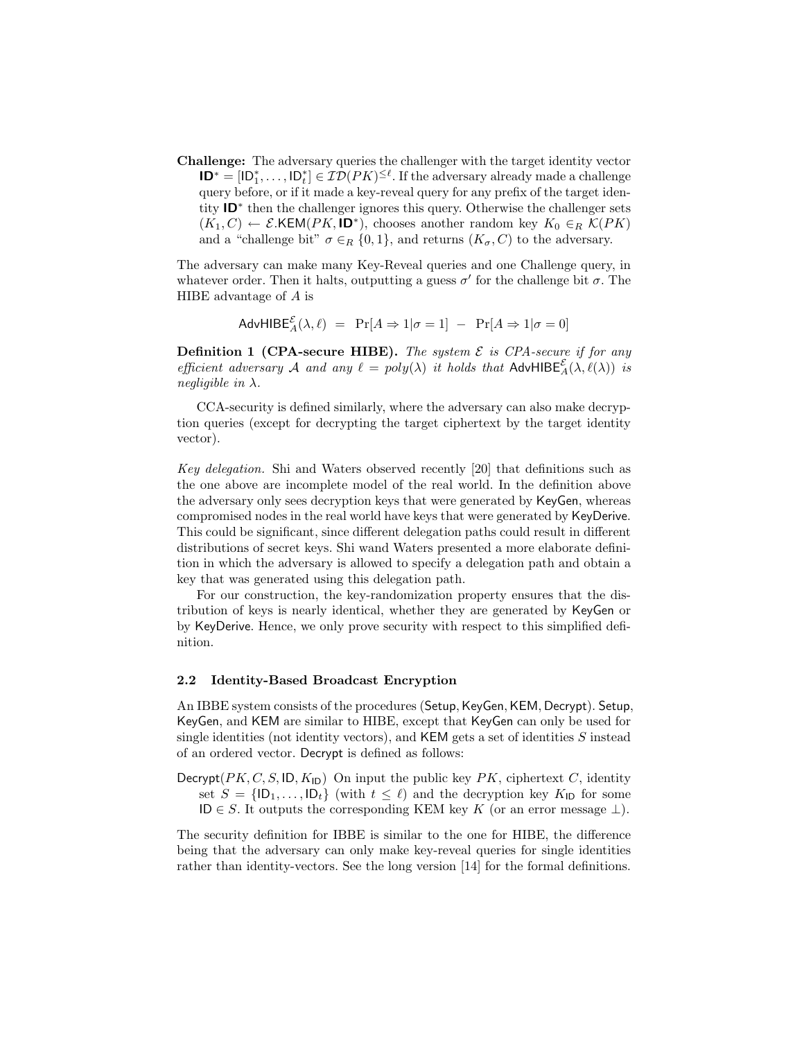Challenge: The adversary queries the challenger with the target identity vector  $\mathsf{ID}^* = [\mathsf{ID}_1^*, \ldots, \mathsf{ID}_t^*] \in \mathcal{ID}(PK)^{\leq \ell}$ . If the adversary already made a challenge query before, or if it made a key-reveal query for any prefix of the target identity ID<sup>∗</sup> then the challenger ignores this query. Otherwise the challenger sets  $(K_1, C) \leftarrow \mathcal{E}.\mathsf{KEM}(PK, \mathsf{ID}^*),$  chooses another random key  $K_0 \in_R \mathcal{K}(PK)$ and a "challenge bit"  $\sigma \in_R \{0, 1\}$ , and returns  $(K_{\sigma}, C)$  to the adversary.

The adversary can make many Key-Reveal queries and one Challenge query, in whatever order. Then it halts, outputting a guess  $\sigma'$  for the challenge bit  $\sigma$ . The HIBE advantage of A is

$$
\mathsf{AdvHIBE}_{A}^{\mathcal{E}}(\lambda, \ell) = \Pr[A \Rightarrow 1 | \sigma = 1] - \Pr[A \Rightarrow 1 | \sigma = 0]
$$

**Definition 1 (CPA-secure HIBE).** The system  $\mathcal E$  is CPA-secure if for any efficient adversary A and any  $\ell = poly(\lambda)$  it holds that AdvHIBE $_{A}^{\mathcal{E}}(\lambda, \ell(\lambda))$  is negligible in  $\lambda$ .

CCA-security is defined similarly, where the adversary can also make decryption queries (except for decrypting the target ciphertext by the target identity vector).

Key delegation. Shi and Waters observed recently [20] that definitions such as the one above are incomplete model of the real world. In the definition above the adversary only sees decryption keys that were generated by KeyGen, whereas compromised nodes in the real world have keys that were generated by KeyDerive. This could be significant, since different delegation paths could result in different distributions of secret keys. Shi wand Waters presented a more elaborate definition in which the adversary is allowed to specify a delegation path and obtain a key that was generated using this delegation path.

For our construction, the key-randomization property ensures that the distribution of keys is nearly identical, whether they are generated by KeyGen or by KeyDerive. Hence, we only prove security with respect to this simplified definition.

#### 2.2 Identity-Based Broadcast Encryption

An IBBE system consists of the procedures (Setup, KeyGen, KEM, Decrypt). Setup, KeyGen, and KEM are similar to HIBE, except that KeyGen can only be used for single identities (not identity vectors), and  $KEM$  gets a set of identities  $S$  instead of an ordered vector. Decrypt is defined as follows:

Decrypt( $PK, C, S, ID, K<sub>ID</sub>$ ) On input the public key PK, ciphertext C, identity set  $S = \{ \mathsf{ID}_1, \ldots, \mathsf{ID}_t \}$  (with  $t \leq \ell$ ) and the decryption key  $K_{\mathsf{ID}}$  for some ID  $\in$  S. It outputs the corresponding KEM key K (or an error message  $\bot$ ).

The security definition for IBBE is similar to the one for HIBE, the difference being that the adversary can only make key-reveal queries for single identities rather than identity-vectors. See the long version [14] for the formal definitions.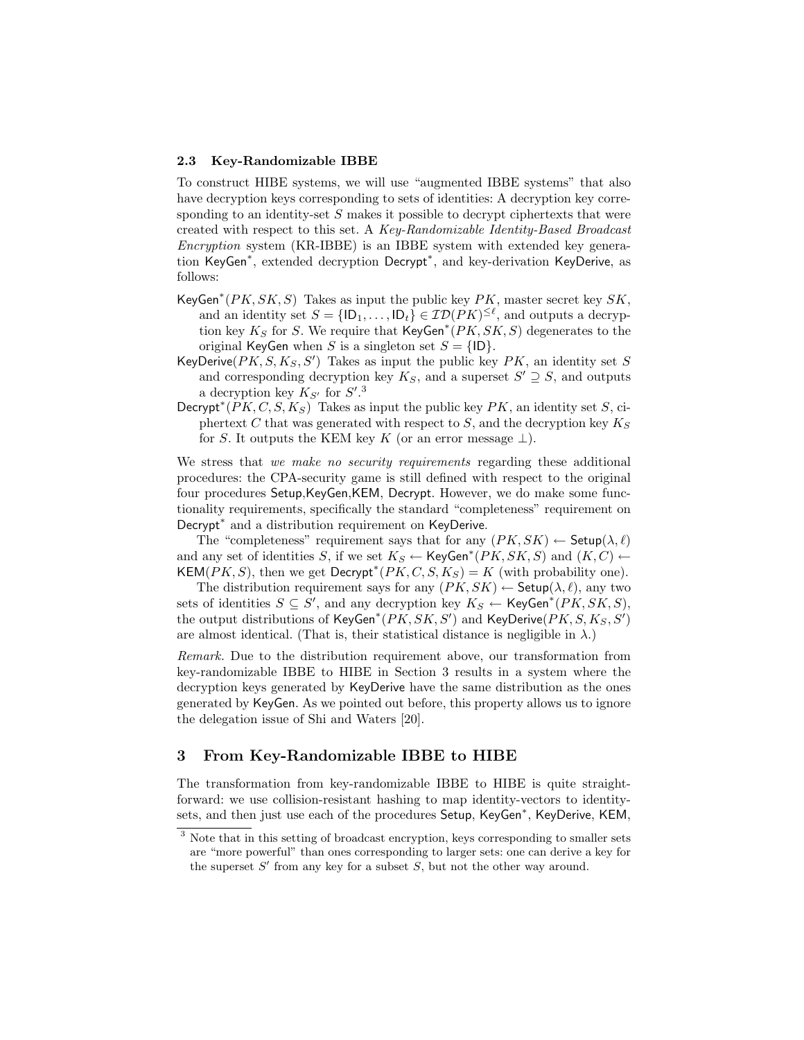#### 2.3 Key-Randomizable IBBE

To construct HIBE systems, we will use "augmented IBBE systems" that also have decryption keys corresponding to sets of identities: A decryption key corresponding to an identity-set  $S$  makes it possible to decrypt ciphertexts that were created with respect to this set. A Key-Randomizable Identity-Based Broadcast Encryption system (KR-IBBE) is an IBBE system with extended key generation KeyGen<sup>∗</sup> , extended decryption Decrypt<sup>∗</sup> , and key-derivation KeyDerive, as follows:

- KeyGen<sup>\*</sup>( $PK, SK, S$ ) Takes as input the public key  $PK$ , master secret key  $SK$ , and an identity set  $S = \{ \mathsf{ID}_1, \ldots, \mathsf{ID}_t \} \in \mathcal{ID}(PK)^{\leq \ell}$ , and outputs a decryption key  $K_S$  for S. We require that  $\mathsf{KeyGen}^*(PK, SK, S)$  degenerates to the original KeyGen when S is a singleton set  $S = \{ID\}.$
- KeyDerive( $PK, S, K_S, S'$ ) Takes as input the public key  $PK$ , an identity set S and corresponding decryption key  $K_S$ , and a superset  $S' \supseteq S$ , and outputs a decryption key  $K_{S'}$  for  $S'.^3$
- Decrypt<sup>\*</sup> $(PK, C, S, K_S)$  Takes as input the public key  $PK$ , an identity set S, ciphertext C that was generated with respect to S, and the decryption key  $K_S$ for S. It outputs the KEM key K (or an error message  $\perp$ ).

We stress that we make no security requirements regarding these additional procedures: the CPA-security game is still defined with respect to the original four procedures Setup, KeyGen, KEM, Decrypt. However, we do make some functionality requirements, specifically the standard "completeness" requirement on Decrypt<sup>\*</sup> and a distribution requirement on KeyDerive.

The "completeness" requirement says that for any  $(PK, SK) \leftarrow$  Setup( $\lambda, \ell$ ) and any set of identities S, if we set  $K_S \leftarrow \text{KeyGen}^*(PK, SK, S)$  and  $(K, C) \leftarrow$ KEM( $PK, S$ ), then we get Decrypt<sup>\*</sup>( $PK, C, S, K_S$ ) = K (with probability one).

The distribution requirement says for any  $(PK, SK) \leftarrow$  Setup $(\lambda, \ell)$ , any two sets of identities  $S \subseteq S'$ , and any decryption key  $K_S \leftarrow \textsf{KeyGen}^*(PK, SK, S)$ , the output distributions of  $\mathsf{KeyGen}^*(PK, SK, S')$  and  $\mathsf{KeyDerive}(PK, S, K_S, S')$ are almost identical. (That is, their statistical distance is negligible in  $\lambda$ .)

Remark. Due to the distribution requirement above, our transformation from key-randomizable IBBE to HIBE in Section 3 results in a system where the decryption keys generated by KeyDerive have the same distribution as the ones generated by KeyGen. As we pointed out before, this property allows us to ignore the delegation issue of Shi and Waters [20].

# 3 From Key-Randomizable IBBE to HIBE

The transformation from key-randomizable IBBE to HIBE is quite straightforward: we use collision-resistant hashing to map identity-vectors to identitysets, and then just use each of the procedures Setup, KeyGen<sup>\*</sup>, KeyDerive, KEM,

<sup>&</sup>lt;sup>3</sup> Note that in this setting of broadcast encryption, keys corresponding to smaller sets are "more powerful" than ones corresponding to larger sets: one can derive a key for the superset  $S'$  from any key for a subset  $S$ , but not the other way around.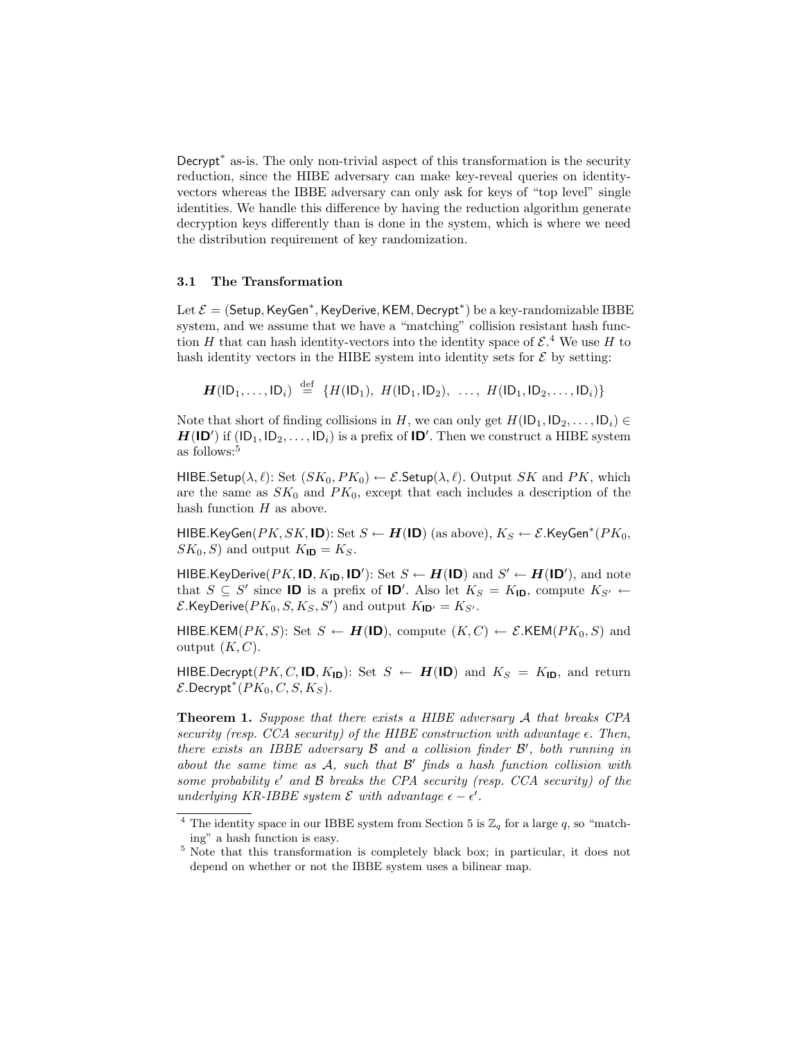Decrypt<sup>\*</sup> as-is. The only non-trivial aspect of this transformation is the security reduction, since the HIBE adversary can make key-reveal queries on identityvectors whereas the IBBE adversary can only ask for keys of "top level" single identities. We handle this difference by having the reduction algorithm generate decryption keys differently than is done in the system, which is where we need the distribution requirement of key randomization.

### 3.1 The Transformation

Let  $\mathcal{E} =$  (Setup, KeyGen<sup>\*</sup>, KeyDerive, KEM, Decrypt<sup>\*</sup>) be a key-randomizable IBBE system, and we assume that we have a "matching" collision resistant hash function H that can hash identity-vectors into the identity space of  $\mathcal{E}$ .<sup>4</sup> We use H to hash identity vectors in the HIBE system into identity sets for  $\mathcal E$  by setting:

$$
\boldsymbol{H}(\mathsf{ID}_1,\ldots,\mathsf{ID}_i) \stackrel{\text{def}}{=} \{H(\mathsf{ID}_1), H(\mathsf{ID}_1,\mathsf{ID}_2), \ldots, H(\mathsf{ID}_1,\mathsf{ID}_2,\ldots,\mathsf{ID}_i)\}
$$

Note that short of finding collisions in H, we can only get  $H(\mathsf{ID}_1, \mathsf{ID}_2, \ldots, \mathsf{ID}_i) \in$  $H(\mathsf{ID'})$  if  $(\mathsf{ID}_1, \mathsf{ID}_2, \ldots, \mathsf{ID}_i)$  is a prefix of  $\mathsf{ID'}$ . Then we construct a HIBE system as follows:<sup>5</sup>

HIBE.Setup( $\lambda, \ell$ ): Set  $(SK_0, PK_0) \leftarrow \mathcal{E}$ .Setup( $\lambda, \ell$ ). Output SK and PK, which are the same as  $SK_0$  and  $PK_0$ , except that each includes a description of the hash function  $H$  as above.

HIBE.KeyGen $(PK, SK, \mathsf{ID})$ : Set  $S \leftarrow H(\mathsf{ID})$  (as above),  $K_S \leftarrow \mathcal{E}$ .KeyGen\* $(PK_0,$  $SK_0, S$  and output  $K_{\text{ID}} = K_S$ .

HIBE.KeyDerive( $PK$ , ID,  $K_{\text{ID}}$ , ID'): Set  $S \leftarrow H(\text{ID})$  and  $S' \leftarrow H(\text{ID}')$ , and note that  $S \subseteq S'$  since **ID** is a prefix of **ID'**. Also let  $K_S = K_{\text{ID}}$ , compute  $K_{S'} \leftarrow$  $\mathcal{E}$ .KeyDerive( $PK_0, S, K_S, S'$ ) and output  $K_{\text{ID}'} = K_{S'}$ .

HIBE.KEM( $PK, S$ ): Set  $S \leftarrow H(\mathsf{ID})$ , compute  $(K, C) \leftarrow \mathcal{E}.\mathsf{KEM}(PK_0, S)$  and output  $(K, C)$ .

HIBE.Decrypt( $PK$ ,  $C$ , ID,  $K_{\text{ID}}$ ): Set  $S \leftarrow H(\text{ID})$  and  $K_S = K_{\text{ID}}$ , and return  $\mathcal{E}.\mathsf{Decrypt}^*(PK_0,C,S,K_S).$ 

Theorem 1. Suppose that there exists a HIBE adversary A that breaks CPA security (resp. CCA security) of the HIBE construction with advantage  $\epsilon$ . Then, there exists an IBBE adversary  $\beta$  and a collision finder  $\beta'$ , both running in about the same time as  $A$ , such that  $B'$  finds a hash function collision with some probability  $\epsilon'$  and  $\beta$  breaks the CPA security (resp. CCA security) of the underlying KR-IBBE system  $\mathcal E$  with advantage  $\epsilon - \epsilon'$ .

<sup>&</sup>lt;sup>4</sup> The identity space in our IBBE system from Section 5 is  $\mathbb{Z}_q$  for a large q, so "matching" a hash function is easy.

<sup>5</sup> Note that this transformation is completely black box; in particular, it does not depend on whether or not the IBBE system uses a bilinear map.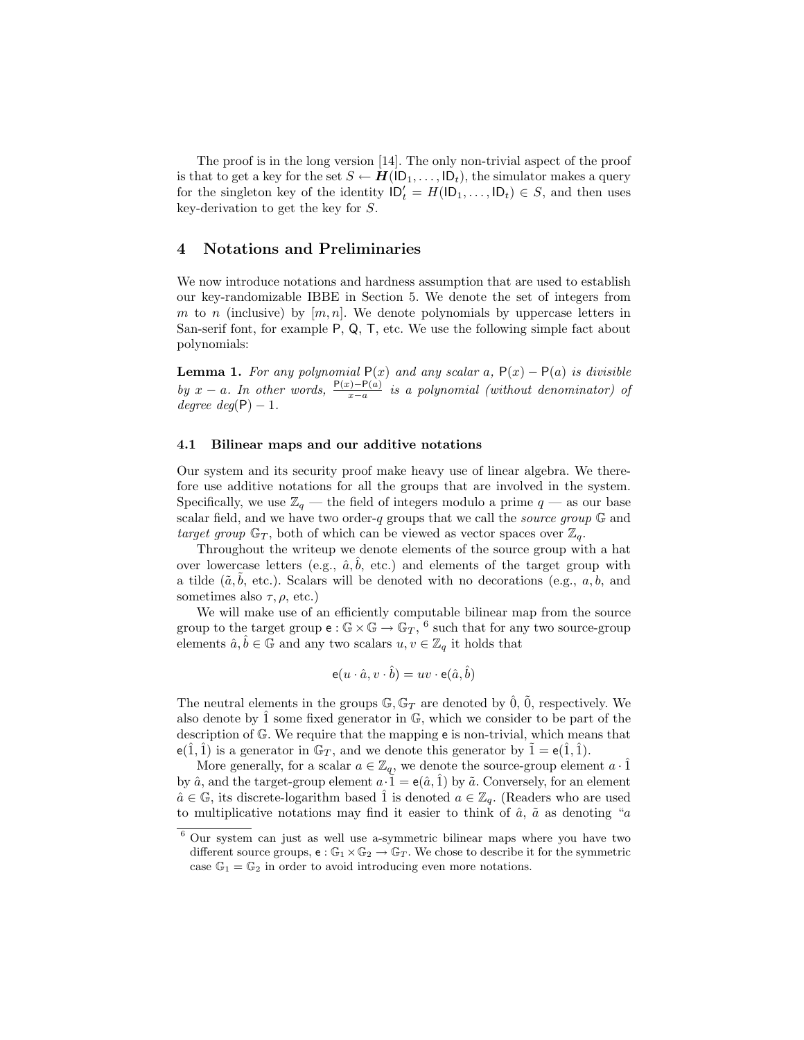The proof is in the long version [14]. The only non-trivial aspect of the proof is that to get a key for the set  $S \leftarrow H(\mathsf{ID}_1, \ldots, \mathsf{ID}_t)$ , the simulator makes a query for the singleton key of the identity  $\mathsf{ID}'_t = H(\mathsf{ID}_1, \ldots, \mathsf{ID}_t) \in S$ , and then uses key-derivation to get the key for S.

## 4 Notations and Preliminaries

We now introduce notations and hardness assumption that are used to establish our key-randomizable IBBE in Section 5. We denote the set of integers from m to n (inclusive) by  $[m, n]$ . We denote polynomials by uppercase letters in San-serif font, for example P, Q, T, etc. We use the following simple fact about polynomials:

**Lemma 1.** For any polynomial  $P(x)$  and any scalar a,  $P(x) - P(a)$  is divisible by  $x - a$ . In other words,  $\frac{P(x) - P(a)}{x - a}$  is a polynomial (without denominator) of degree  $deg(P) - 1$ .

#### 4.1 Bilinear maps and our additive notations

Our system and its security proof make heavy use of linear algebra. We therefore use additive notations for all the groups that are involved in the system. Specifically, we use  $\mathbb{Z}_q$  — the field of integers modulo a prime  $q$  — as our base scalar field, and we have two order-q groups that we call the *source group*  $\mathbb{G}$  and target group  $\mathbb{G}_T$ , both of which can be viewed as vector spaces over  $\mathbb{Z}_q$ .

Throughout the writeup we denote elements of the source group with a hat over lowercase letters (e.g.,  $\hat{a}$ ,  $\hat{b}$ , etc.) and elements of the target group with a tilde  $(\tilde{a}, b, \text{ etc.})$ . Scalars will be denoted with no decorations (e.g.,  $a, b$ , and sometimes also  $\tau$ ,  $\rho$ , etc.)

We will make use of an efficiently computable bilinear map from the source group to the target group  $e: \mathbb{G} \times \mathbb{G} \to \mathbb{G}_T$ , <sup>6</sup> such that for any two source-group elements  $\hat{a}, \hat{b} \in \mathbb{G}$  and any two scalars  $u, v \in \mathbb{Z}_q$  it holds that

$$
e(u \cdot \hat{a}, v \cdot \hat{b}) = uv \cdot e(\hat{a}, \hat{b})
$$

The neutral elements in the groups  $\mathbb{G}, \mathbb{G}_T$  are denoted by  $\hat{0}$ ,  $\tilde{0}$ , respectively. We also denote by  $\hat{1}$  some fixed generator in  $\mathbb{G}$ , which we consider to be part of the description of G. We require that the mapping e is non-trivial, which means that  $e(\hat{1}, \hat{1})$  is a generator in  $\mathbb{G}_T$ , and we denote this generator by  $\tilde{1} = e(\hat{1}, \hat{1})$ .

More generally, for a scalar  $a \in \mathbb{Z}_q$ , we denote the source-group element  $a \cdot \hat{1}$ by  $\hat{a}$ , and the target-group element  $a \cdot \tilde{1} = e(\hat{a}, \hat{1})$  by  $\tilde{a}$ . Conversely, for an element  $\hat{a} \in \mathbb{G}$ , its discrete-logarithm based  $\hat{1}$  is denoted  $a \in \mathbb{Z}_q$ . (Readers who are used to multiplicative notations may find it easier to think of  $\hat{a}$ ,  $\tilde{a}$  as denoting "a

<sup>6</sup> Our system can just as well use a-symmetric bilinear maps where you have two different source groups,  $e : \mathbb{G}_1 \times \mathbb{G}_2 \to \mathbb{G}_T$ . We chose to describe it for the symmetric case  $\mathbb{G}_1 = \mathbb{G}_2$  in order to avoid introducing even more notations.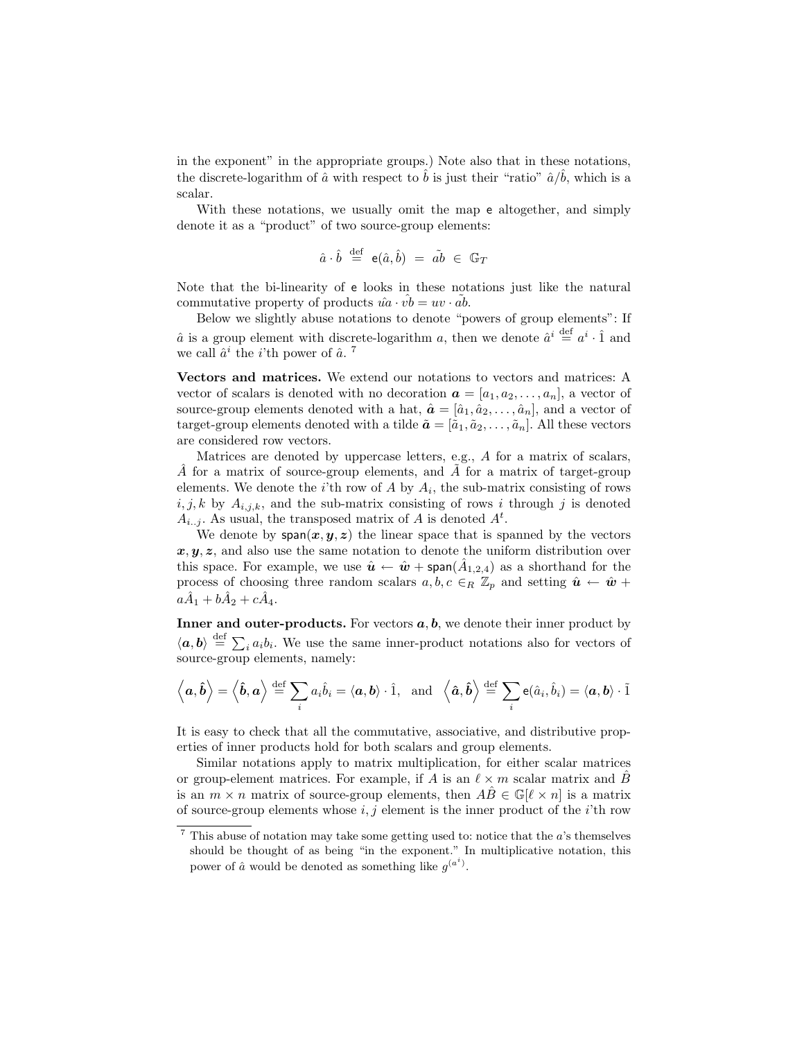in the exponent" in the appropriate groups.) Note also that in these notations, the discrete-logarithm of  $\hat{a}$  with respect to  $\hat{b}$  is just their "ratio"  $\hat{a}/\hat{b}$ , which is a scalar.

With these notations, we usually omit the map e altogether, and simply denote it as a "product" of two source-group elements:

$$
\hat{a} \cdot \hat{b} \stackrel{\text{def}}{=} \mathsf{e}(\hat{a}, \hat{b}) = \tilde{ab} \in \mathbb{G}_T
$$

Note that the bi-linearity of e looks in these notations just like the natural commutative property of products  $\hat{u} \hat{a} \cdot \hat{v} \hat{b} = uv \cdot \tilde{a} \hat{b}$ .

Below we slightly abuse notations to denote "powers of group elements": If  $\hat{a}$  is a group element with discrete-logarithm a, then we denote  $\hat{a}^i \stackrel{\text{def}}{=} a^i \cdot \hat{1}$  and we call  $\hat{a}^i$  the *i*'th power of  $\hat{a}$ .<sup>7</sup>

Vectors and matrices. We extend our notations to vectors and matrices: A vector of scalars is denoted with no decoration  $\boldsymbol{a} = [a_1, a_2, \dots, a_n]$ , a vector of source-group elements denoted with a hat,  $\hat{\boldsymbol{a}} = [\hat{a}_1, \hat{a}_2, \dots, \hat{a}_n]$ , and a vector of target-group elements denoted with a tilde  $\tilde{a} = [\tilde{a}_1, \tilde{a}_2, \ldots, \tilde{a}_n]$ . All these vectors are considered row vectors.

Matrices are denoted by uppercase letters, e.g., A for a matrix of scalars, A for a matrix of source-group elements, and A for a matrix of target-group elements. We denote the *i*'th row of  $A$  by  $A_i$ , the sub-matrix consisting of rows  $i, j, k$  by  $A_{i,j,k}$ , and the sub-matrix consisting of rows i through j is denoted  $A_{i..j}$ . As usual, the transposed matrix of A is denoted  $A^t$ .

We denote by  $\text{span}(x, y, z)$  the linear space that is spanned by the vectors  $x, y, z$ , and also use the same notation to denote the uniform distribution over this space. For example, we use  $\hat{\mathbf{u}} \leftarrow \hat{\mathbf{w}} + \mathsf{span}(\hat{A}_{1,2,4})$  as a shorthand for the process of choosing three random scalars  $a, b, c \in_R \mathbb{Z}_p$  and setting  $\hat{u} \leftarrow \hat{w} +$  $a\hat{A}_1 + b\hat{A}_2 + c\hat{A}_4.$ 

Inner and outer-products. For vectors  $a, b$ , we denote their inner product by  $\langle a, b \rangle \stackrel{\text{def}}{=} \sum_i a_i b_i$ . We use the same inner-product notations also for vectors of source-group elements, namely:

$$
\langle a,\hat{b}\rangle = \langle \hat{b},a\rangle \stackrel{\text{def}}{=} \sum_i a_i \hat{b}_i = \langle a,b\rangle \cdot \hat{1}, \text{ and } \langle \hat{a},\hat{b}\rangle \stackrel{\text{def}}{=} \sum_i e(\hat{a}_i,\hat{b}_i) = \langle a,b\rangle \cdot \hat{1}
$$

It is easy to check that all the commutative, associative, and distributive properties of inner products hold for both scalars and group elements.

Similar notations apply to matrix multiplication, for either scalar matrices or group-element matrices. For example, if A is an  $\ell \times m$  scalar matrix and  $\hat{B}$ is an  $m \times n$  matrix of source-group elements, then  $\overrightarrow{AB} \in \mathbb{G}[\ell \times n]$  is a matrix of source-group elements whose  $i, j$  element is the inner product of the *i*'th row

 $7$  This abuse of notation may take some getting used to: notice that the  $a$ 's themselves should be thought of as being "in the exponent." In multiplicative notation, this power of  $\hat{a}$  would be denoted as something like  $g^{(a^i)}$ .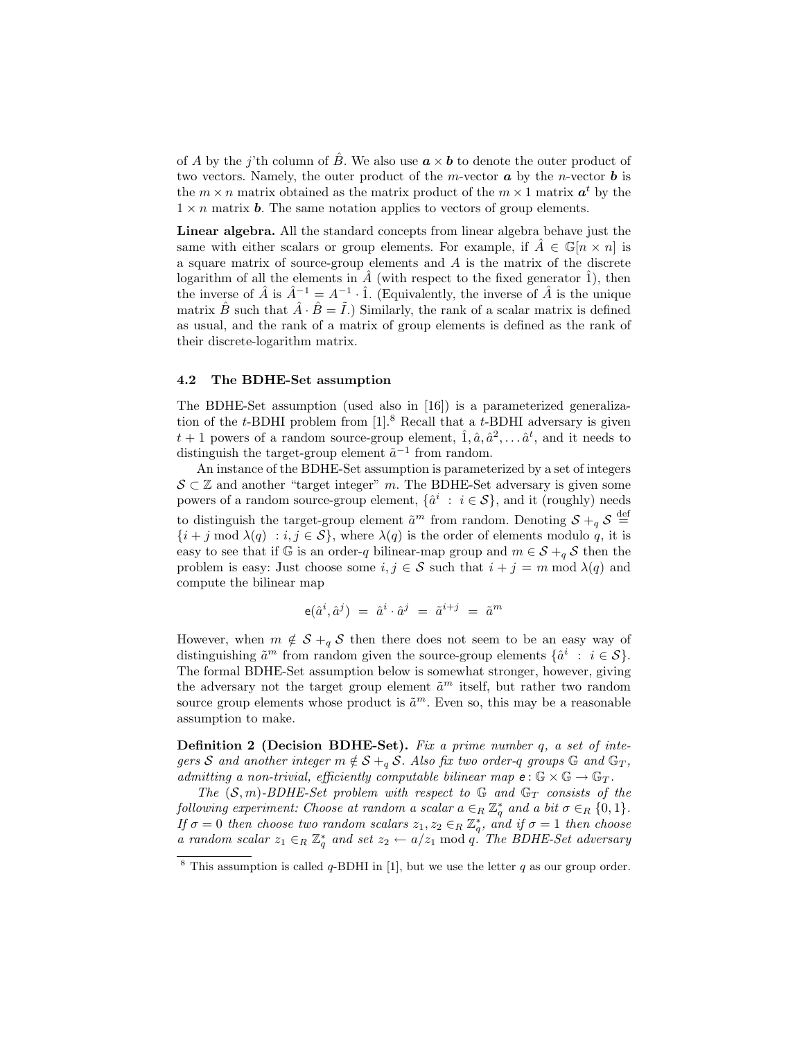of A by the j'th column of  $\hat{B}$ . We also use  $\boldsymbol{a} \times \boldsymbol{b}$  to denote the outer product of two vectors. Namely, the outer product of the m-vector  $\boldsymbol{a}$  by the n-vector  $\boldsymbol{b}$  is the  $m \times n$  matrix obtained as the matrix product of the  $m \times 1$  matrix  $a^t$  by the  $1 \times n$  matrix **b**. The same notation applies to vectors of group elements.

Linear algebra. All the standard concepts from linear algebra behave just the same with either scalars or group elements. For example, if  $\hat{A} \in \mathbb{G}[n \times n]$  is a square matrix of source-group elements and  $A$  is the matrix of the discrete logarithm of all the elements in  $\hat{A}$  (with respect to the fixed generator  $\hat{1}$ ), then the inverse of  $\hat{A}$  is  $\hat{A}^{-1} = A^{-1} \cdot \hat{1}$ . (Equivalently, the inverse of  $\hat{A}$  is the unique matrix  $\hat{B}$  such that  $\hat{A} \cdot \hat{B} = \tilde{I}$ .) Similarly, the rank of a scalar matrix is defined as usual, and the rank of a matrix of group elements is defined as the rank of their discrete-logarithm matrix.

#### 4.2 The BDHE-Set assumption

The BDHE-Set assumption (used also in [16]) is a parameterized generalization of the  $t$ -BDHI problem from  $[1]$ .<sup>8</sup> Recall that a  $t$ -BDHI adversary is given  $t+1$  powers of a random source-group element,  $\hat{1}, \hat{a}, \hat{a}^2, \dots \hat{a}^t$ , and it needs to distinguish the target-group element  $\tilde{a}^{-1}$  from random.

An instance of the BDHE-Set assumption is parameterized by a set of integers  $S \subset \mathbb{Z}$  and another "target integer" m. The BDHE-Set adversary is given some powers of a random source-group element,  $\{\hat{a}^i : i \in \mathcal{S}\}\$ , and it (roughly) needs to distinguish the target-group element  $\tilde{a}^m$  from random. Denoting  $S +_{q} S \stackrel{\text{def}}{=}$  ${i + j \bmod \lambda(q) : i, j \in S}$ , where  $\lambda(q)$  is the order of elements modulo q, it is easy to see that if G is an order-q bilinear-map group and  $m \in S +_{q} S$  then the problem is easy: Just choose some  $i, j \in S$  such that  $i + j = m \mod \lambda(q)$  and compute the bilinear map

$$
e(\hat{a}^i, \hat{a}^j) = \hat{a}^i \cdot \hat{a}^j = \tilde{a}^{i+j} = \tilde{a}^m
$$

However, when  $m \notin S +_{q} S$  then there does not seem to be an easy way of distinguishing  $\tilde{a}^m$  from random given the source-group elements  $\{\hat{a}^i : i \in \mathcal{S}\}.$ The formal BDHE-Set assumption below is somewhat stronger, however, giving the adversary not the target group element  $\tilde{a}^m$  itself, but rather two random source group elements whose product is  $\tilde{a}^m$ . Even so, this may be a reasonable assumption to make.

**Definition 2 (Decision BDHE-Set).** Fix a prime number  $q$ , a set of integers S and another integer  $m \notin S +_{q} S$ . Also fix two order-q groups G and G<sub>T</sub>, admitting a non-trivial, efficiently computable bilinear map  $e : \mathbb{G} \times \mathbb{G} \to \mathbb{G}_T$ .

The  $(S, m)$ -BDHE-Set problem with respect to  $\mathbb G$  and  $\mathbb G_T$  consists of the following experiment: Choose at random a scalar  $a \in_R \mathbb{Z}_q^*$  and a bit  $\sigma \in_R \{0,1\}$ . If  $\sigma = 0$  then choose two random scalars  $z_1, z_2 \in_R \mathbb{Z}_q^*$ , and if  $\sigma = 1$  then choose a random scalar  $z_1 \in_R \mathbb{Z}_q^*$  and set  $z_2 \leftarrow a/z_1 \mod q$ . The BDHE-Set adversary

<sup>&</sup>lt;sup>8</sup> This assumption is called  $q$ -BDHI in [1], but we use the letter  $q$  as our group order.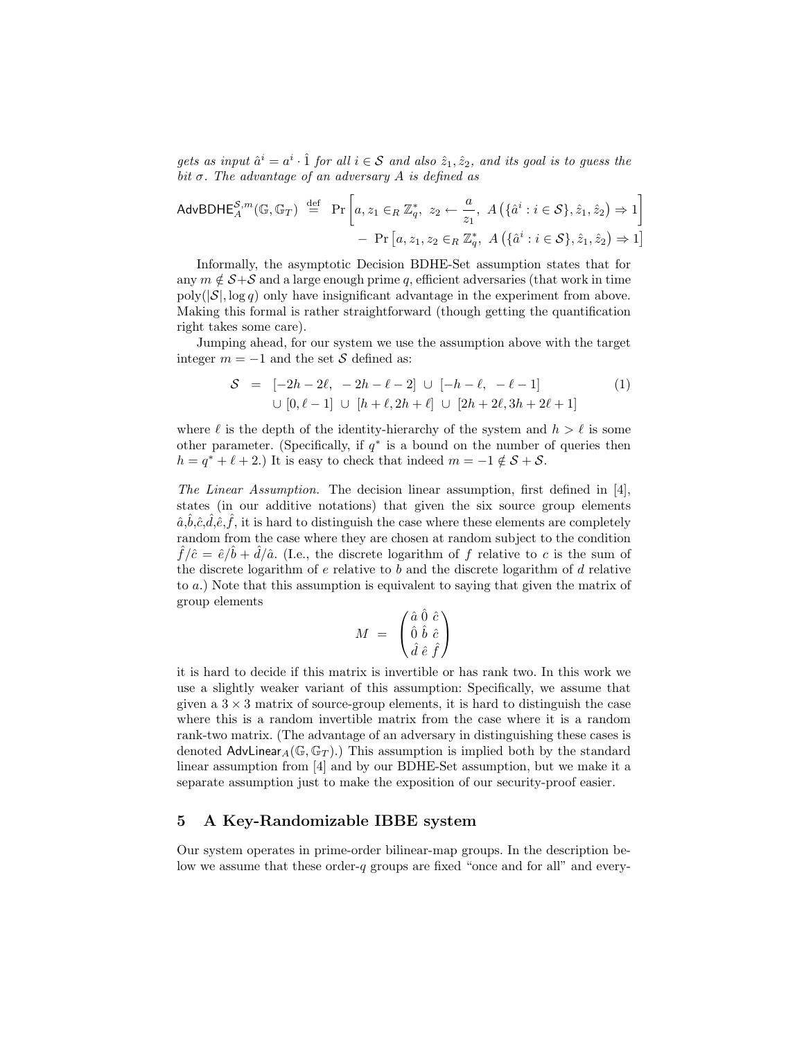gets as input  $\hat{a}^i = a^i \cdot \hat{1}$  for all  $i \in S$  and also  $\hat{z}_1, \hat{z}_2$ , and its goal is to guess the bit  $\sigma$ . The advantage of an adversary A is defined as

$$
\begin{array}{rcl}\n\text{AdvBDHE}_{A}^{\mathcal{S},m}(\mathbb{G},\mathbb{G}_{T}) & \stackrel{\text{def}}{=} & \Pr\left[a,z_{1} \in_{R} \mathbb{Z}_{q}^{*}, \ z_{2} \leftarrow \frac{a}{z_{1}}, \ A\left(\{\hat{a}^{i} : i \in \mathcal{S}\},\hat{z}_{1},\hat{z}_{2}\right) \Rightarrow 1\right] \\
& & \quad - \ \Pr\left[a,z_{1},z_{2} \in_{R} \mathbb{Z}_{q}^{*}, \ A\left(\{\hat{a}^{i} : i \in \mathcal{S}\},\hat{z}_{1},\hat{z}_{2}\right) \Rightarrow 1\right]\n\end{array}
$$

Informally, the asymptotic Decision BDHE-Set assumption states that for any  $m \notin S+S$  and a large enough prime q, efficient adversaries (that work in time  $poly(|\mathcal{S}|, \log q)$  only have insignificant advantage in the experiment from above. Making this formal is rather straightforward (though getting the quantification right takes some care).

Jumping ahead, for our system we use the assumption above with the target integer  $m = -1$  and the set S defined as:

$$
S = [-2h - 2\ell, -2h - \ell - 2] \cup [-h - \ell, -\ell - 1]
$$
  
 
$$
\cup [0, \ell - 1] \cup [h + \ell, 2h + \ell] \cup [2h + 2\ell, 3h + 2\ell + 1]
$$
 (1)

where  $\ell$  is the depth of the identity-hierarchy of the system and  $h > \ell$  is some other parameter. (Specifically, if  $q^*$  is a bound on the number of queries then  $h = q^* + \ell + 2.$  It is easy to check that indeed  $m = -1 \notin S + S$ .

The Linear Assumption. The decision linear assumption, first defined in [4], states (in our additive notations) that given the six source group elements  $\hat{a}, \hat{b}, \hat{c}, \hat{d}, \hat{e}, \hat{f}$ , it is hard to distinguish the case where these elements are completely random from the case where they are chosen at random subject to the condition  $f/\hat{c} = \hat{e}/\hat{b} + \hat{d}/\hat{a}$ . (I.e., the discrete logarithm of f relative to c is the sum of the discrete logarithm of  $e$  relative to  $b$  and the discrete logarithm of  $d$  relative to a.) Note that this assumption is equivalent to saying that given the matrix of group elements

$$
M\ =\ \begin{pmatrix} \hat{a}\ \hat{0}\ \hat{c} \\ \hat{0}\ \hat{b}\ \hat{c} \\ \hat{d}\ \hat{e}\ \hat{f} \end{pmatrix}
$$

it is hard to decide if this matrix is invertible or has rank two. In this work we use a slightly weaker variant of this assumption: Specifically, we assume that given a  $3 \times 3$  matrix of source-group elements, it is hard to distinguish the case where this is a random invertible matrix from the case where it is a random rank-two matrix. (The advantage of an adversary in distinguishing these cases is denoted AdvLinear<sub>A</sub>( $\mathbb{G}, \mathbb{G}_T$ ).) This assumption is implied both by the standard linear assumption from [4] and by our BDHE-Set assumption, but we make it a separate assumption just to make the exposition of our security-proof easier.

## 5 A Key-Randomizable IBBE system

Our system operates in prime-order bilinear-map groups. In the description below we assume that these order-q groups are fixed "once and for all" and every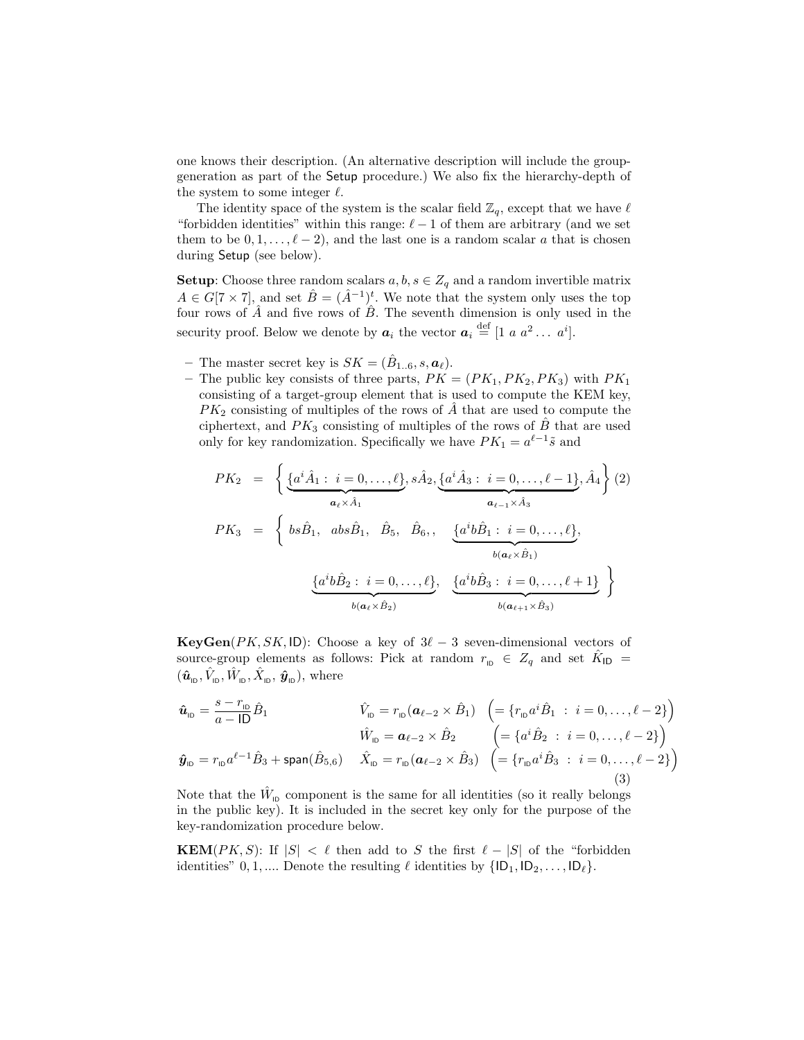one knows their description. (An alternative description will include the groupgeneration as part of the Setup procedure.) We also fix the hierarchy-depth of the system to some integer  $\ell$ .

The identity space of the system is the scalar field  $\mathbb{Z}_q$ , except that we have  $\ell$ "forbidden identities" within this range:  $\ell - 1$  of them are arbitrary (and we set them to be  $0, 1, \ldots, \ell - 2$ , and the last one is a random scalar a that is chosen during Setup (see below).

**Setup:** Choose three random scalars  $a, b, s \in \mathbb{Z}_q$  and a random invertible matrix  $A \in G[7 \times 7]$ , and set  $\hat{B} = (\hat{A}^{-1})^t$ . We note that the system only uses the top four rows of  $\hat{A}$  and five rows of  $\hat{B}$ . The seventh dimension is only used in the security proof. Below we denote by  $a_i$  the vector  $a_i \stackrel{\text{def}}{=} [1 \ a \ a^2 \dots \ a^i]$ .

- The master secret key is  $SK = (\hat{B}_{1..6}, s, a_\ell)$ .
- The public key consists of three parts,  $PK = (PK_1, PK_2, PK_3)$  with  $PK_1$ consisting of a target-group element that is used to compute the KEM key,  $PK_2$  consisting of multiples of the rows of  $\hat{A}$  that are used to compute the ciphertext, and  $PK_3$  consisting of multiples of the rows of  $\hat{B}$  that are used only for key randomization. Specifically we have  $PK_1 = a^{\ell-1}\tilde{s}$  and

$$
PK_2 = \left\{ \underbrace{\{a^i \hat{A}_1 : i = 0, \dots, \ell\}}_{a_{\ell} \times \hat{A}_1}, s\hat{A}_2, \underbrace{\{a^i \hat{A}_3 : i = 0, \dots, \ell - 1\}}_{a_{\ell-1} \times \hat{A}_3}, \hat{A}_4 \right\} (2)
$$
\n
$$
PK_3 = \left\{ bs\hat{B}_1, abs\hat{B}_1, \hat{B}_5, \hat{B}_6, \underbrace{\{a^i b\hat{B}_1 : i = 0, \dots, \ell\}}_{b(a_{\ell} \times \hat{B}_1)}, \underbrace{\{a^i b\hat{B}_3 : i = 0, \dots, \ell + 1\}}_{b(a_{\ell} \times \hat{B}_2)}, \underbrace{\{a^i b\hat{B}_3 : i = 0, \dots, \ell + 1\}}_{b(a_{\ell+1} \times \hat{B}_3)} \right\}
$$

KeyGen( $PK, SK$ , ID): Choose a key of  $3\ell - 3$  seven-dimensional vectors of source-group elements as follows: Pick at random  $r_{\text{ID}} \in Z_q$  and set  $\hat{K}_{\text{ID}} =$  $(\hat{\boldsymbol{u}}_{\text{ID}}, \hat{V}_{\text{ID}}, \hat{W}_{\text{ID}}, \hat{X}_{\text{ID}}, \hat{\boldsymbol{y}}_{\text{ID}})$ , where

$$
\hat{\mathbf{u}}_{\text{ID}} = \frac{s - r_{\text{ID}}}{a - \text{ID}} \hat{B}_1 \qquad \hat{V}_{\text{ID}} = r_{\text{ID}} (\mathbf{a}_{\ell-2} \times \hat{B}_1) \left( = \{r_{\text{ID}} a^i \hat{B}_1 : i = 0, \dots, \ell - 2\} \right)
$$
\n
$$
\hat{W}_{\text{ID}} = \mathbf{a}_{\ell-2} \times \hat{B}_2 \qquad \left( = \{a^i \hat{B}_2 : i = 0, \dots, \ell - 2\} \right)
$$
\n
$$
\hat{\mathbf{y}}_{\text{ID}} = r_{\text{ID}} a^{\ell-1} \hat{B}_3 + \text{span}(\hat{B}_{5,6}) \qquad \hat{X}_{\text{ID}} = r_{\text{ID}} (\mathbf{a}_{\ell-2} \times \hat{B}_3) \qquad \left( = \{r_{\text{ID}} a^i \hat{B}_3 : i = 0, \dots, \ell - 2\} \right)
$$
\n(3)

Note that the  $\hat{W}_{\text{ID}}$  component is the same for all identities (so it really belongs in the public key). It is included in the secret key only for the purpose of the key-randomization procedure below.

**KEM**( $PK, S$ ): If  $|S| < l$  then add to S the first  $l - |S|$  of the "forbidden" identities"  $0, 1, ...$  Denote the resulting  $\ell$  identities by  $\{ \mathsf{ID}_1, \mathsf{ID}_2, ..., \mathsf{ID}_\ell \}.$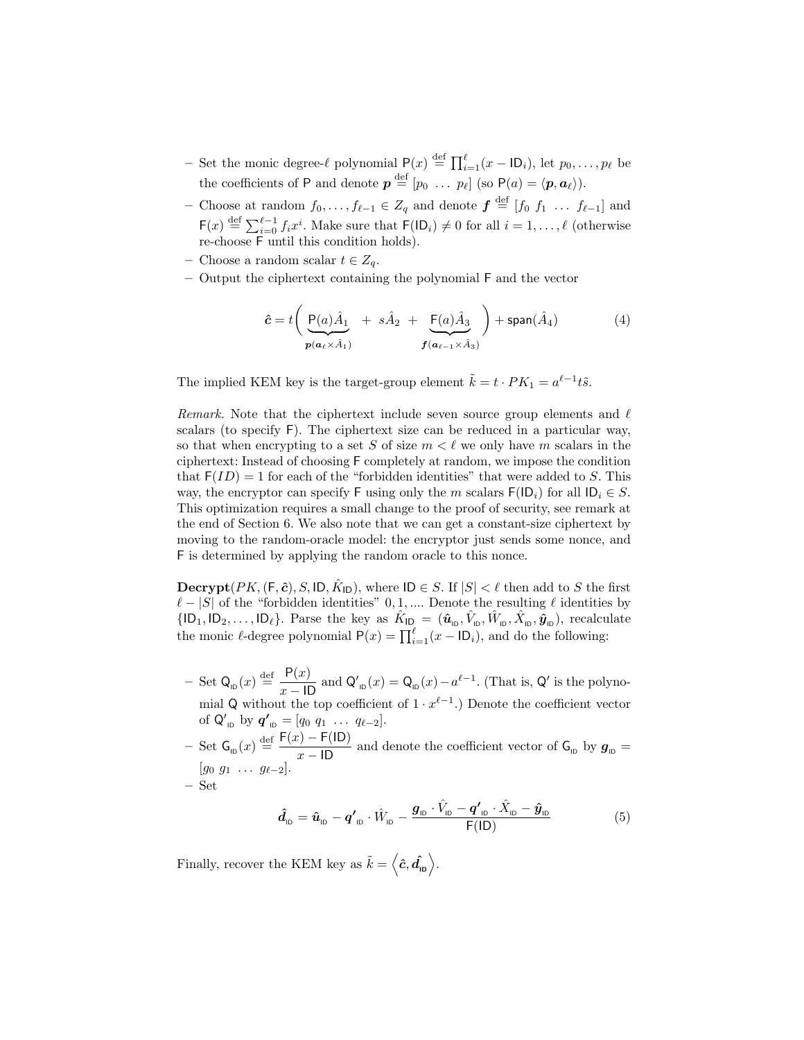- Set the monic degree- $\ell$  polynomial  $P(x) \stackrel{\text{def}}{=} \prod_{i=1}^{\ell} (x \mathsf{ID}_i)$ , let  $p_0, \ldots, p_{\ell}$  be the coefficients of P and denote  $p \stackrel{\text{def}}{=} [p_0 \dots p_\ell]$  (so  $P(a) = \langle p, a_\ell \rangle$ ).
- Choose at random  $f_0, \ldots, f_{\ell-1} \in Z_q$  and denote  $f \stackrel{\text{def}}{=} [f_0 \; f_1 \; \ldots \; f_{\ell-1}]$  and  $\mathsf{F}(x) \stackrel{\text{def}}{=} \sum_{i=0}^{\ell-1} f_i x^i$ . Make sure that  $\mathsf{F}(\mathsf{ID}_i) \neq 0$  for all  $i = 1, \ldots, \ell$  (otherwise re-choose F until this condition holds).
- Choose a random scalar  $t \in Z_q$ .
- Output the ciphertext containing the polynomial F and the vector

$$
\hat{c} = t \left( \underbrace{P(a)\hat{A}_1}_{p(a_\ell \times \hat{A}_1)} + s\hat{A}_2 + \underbrace{F(a)\hat{A}_3}_{f(a_{\ell-1} \times \hat{A}_3)} \right) + \text{span}(\hat{A}_4)
$$
(4)

The implied KEM key is the target-group element  $\tilde{k} = t \cdot PK_1 = a^{\ell-1} t \tilde{s}$ .

Remark. Note that the ciphertext include seven source group elements and  $\ell$ scalars (to specify F). The ciphertext size can be reduced in a particular way, so that when encrypting to a set S of size  $m < \ell$  we only have m scalars in the ciphertext: Instead of choosing F completely at random, we impose the condition that  $F(ID) = 1$  for each of the "forbidden identities" that were added to S. This way, the encryptor can specify F using only the m scalars  $F(\mathsf{ID}_i)$  for all  $\mathsf{ID}_i \in S$ . This optimization requires a small change to the proof of security, see remark at the end of Section 6. We also note that we can get a constant-size ciphertext by moving to the random-oracle model: the encryptor just sends some nonce, and F is determined by applying the random oracle to this nonce.

 $\mathbf{Decrypt}(PK, (\mathsf{F}, \hat{\mathbf{c}}), S, \mathsf{ID}, \hat{K}_{\mathsf{ID}}), \text{ where } \mathsf{ID} \in S. \text{ If } |S| < \ell \text{ then } \text{add to } S \text{ the first }$  $\ell - |S|$  of the "forbidden identities" 0, 1, .... Denote the resulting  $\ell$  identities by  $\{ |D_1, D_2, \ldots, |D_\ell \}$ . Parse the key as  $\hat{K}_{\text{ID}} = (\hat{u}_{\text{ID}}, \hat{V}_{\text{ID}}, \hat{W}_{\text{ID}}, \hat{X}_{\text{ID}}, \hat{y}_{\text{ID}})$ , recalculate the monic  $\ell$ -degree polynomial  $P(x) = \prod_{i=1}^{\ell} (x - \mathsf{ID}_i)$ , and do the following:

- Set  $Q_{\text{ID}}(x) \stackrel{\text{def}}{=} \frac{P(x)}{x 1D}$  and  $Q'_{\text{ID}}(x) = Q_{\text{ID}}(x) a^{\ell-1}$ . (That is, Q' is the polynomial Q without the top coefficient of  $1 \cdot x^{\ell-1}$ .) Denote the coefficient vector of  $Q'_{\text{ID}}$  by  $\boldsymbol{q'}_{\text{ID}} = [q_0 \ q_1 \ \dots \ q_{\ell-2}].$
- $-\operatorname{Set} G_{\text{ID}}(x) \stackrel{\text{def}}{=} \frac{F(x) F(\text{ID})}{x \text{ID}}$  and denote the coefficient vector of  $G_{\text{ID}}$  by  $g_{\text{ID}} =$  $[g_0\; g_1\; \ldots \; g_{\ell-2}].$
- Set

$$
\hat{\boldsymbol{d}}_{\text{ID}} = \hat{\boldsymbol{u}}_{\text{ID}} - \boldsymbol{q'}_{\text{ID}} \cdot \hat{W}_{\text{ID}} - \frac{\boldsymbol{g}_{\text{ID}} \cdot \hat{V}_{\text{ID}} - \boldsymbol{q'}_{\text{ID}} \cdot \hat{X}_{\text{ID}} - \hat{\boldsymbol{y}}_{\text{ID}}}{F(\text{ID})}
$$
(5)

Finally, recover the KEM key as  $\tilde{k} = \langle \hat{c}, \hat{d}_{\text{ID}} \rangle$ .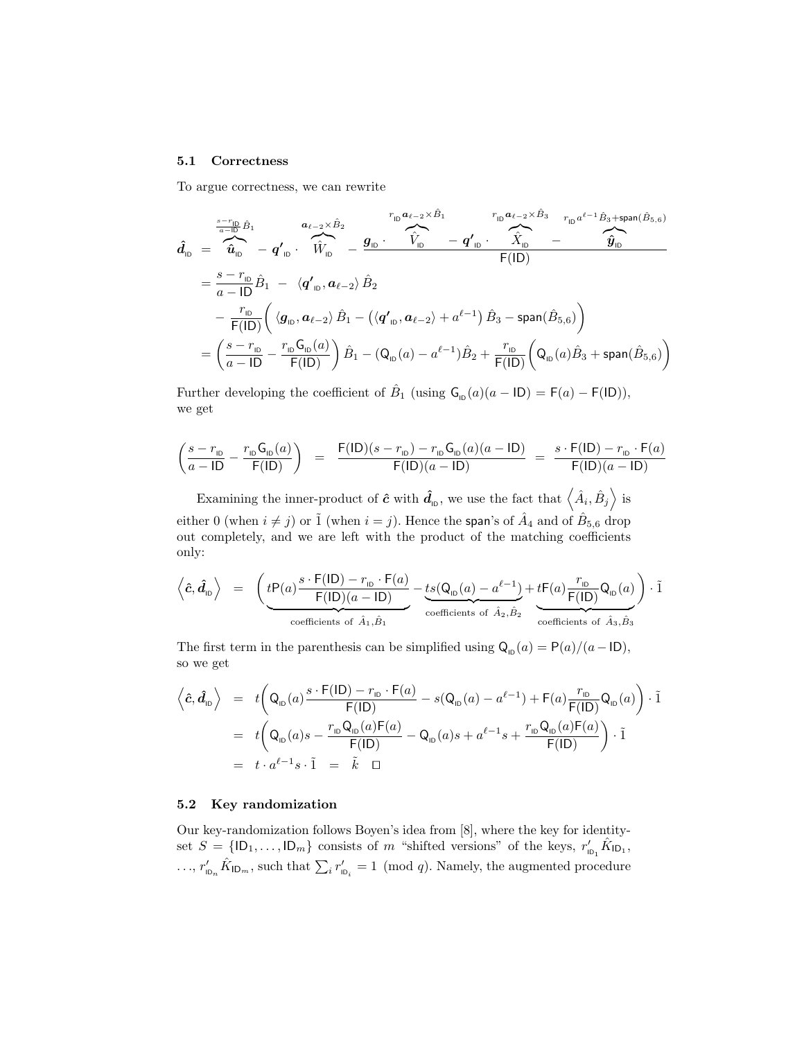#### 5.1 Correctness

To argue correctness, we can rewrite

$$
\hat{d}_{\text{ID}} = \hat{\hat{u}}_{\text{ID}} \hat{B}_{1} \qquad \hat{w}_{\text{ID}} - \hat{q}_{\text{ID}}' \hat{B}_{2} \qquad \hat{v}_{\text{ID}} \hat{w}_{\text{ID}} - \hat{q}_{\text{ID}}' \hat{b}_{3} + \text{span}(\hat{B}_{5,6})
$$
\n
$$
\hat{d}_{\text{ID}} = \hat{\hat{u}}_{\text{ID}} - \hat{q}_{\text{ID}}' \cdot \hat{\hat{W}}_{\text{ID}} - \frac{g_{\text{ID}} \cdot \hat{\hat{V}}_{\text{ID}} - \hat{q}_{\text{ID}}' \cdot \hat{\hat{X}}_{\text{ID}} - \hat{y}_{\text{ID}}'}{F(\text{ID})}
$$
\n
$$
= \frac{s - r_{\text{ID}}}{\pi - \text{ID}} \hat{B}_{1} - \langle q_{\text{ID}}', a_{\ell-2} \rangle \hat{B}_{2}
$$
\n
$$
- \frac{r_{\text{ID}}}{F(\text{ID})} \left( \langle g_{\text{ID}}, a_{\ell-2} \rangle \hat{B}_{1} - (\langle q_{\text{ID}}', a_{\ell-2} \rangle + a^{\ell-1}) \hat{B}_{3} - \text{span}(\hat{B}_{5,6}) \right)
$$
\n
$$
= \left( \frac{s - r_{\text{ID}}}{a - \text{ID}} - \frac{r_{\text{ID}} \hat{G}_{\text{ID}}(a)}{F(\text{ID})} \right) \hat{B}_{1} - (\hat{Q}_{\text{ID}}(a) - a^{\ell-1}) \hat{B}_{2} + \frac{r_{\text{ID}}}{F(\text{ID})} \left( \hat{Q}_{\text{ID}}(a) \hat{B}_{3} + \text{span}(\hat{B}_{5,6}) \right)
$$

Further developing the coefficient of  $\hat{B}_1$  (using  $\mathsf{G}_{\mathsf{ID}}(a)(a - \mathsf{ID}) = \mathsf{F}(a) - \mathsf{F}(\mathsf{ID})$ ), we get

$$
\left(\frac{s-r_{\text{ID}}}{a-\text{ID}}-\frac{r_{\text{ID}}\mathsf{G}_{\text{ID}}(a)}{\mathsf{F}(\text{ID})}\right) \;\; = \;\; \frac{\mathsf{F}(\text{ID})(s-r_{\text{ID}})-r_{\text{ID}}\mathsf{G}_{\text{ID}}(a)(a-\text{ID})}{\mathsf{F}(\text{ID})(a-\text{ID})} \;\; = \;\; \frac{s\cdot \mathsf{F}(\text{ID})-r_{\text{ID}}\cdot \mathsf{F}(a)}{\mathsf{F}(\text{ID})(a-\text{ID})}
$$

Examining the inner-product of  $\hat{\bm{c}}$  with  $\hat{\bm{d}}_{\text{ID}}$ , we use the fact that  $\left\langle \hat{A}_{i}, \hat{B}_{j} \right\rangle$  is either 0 (when  $i \neq j$ ) or  $\tilde{1}$  (when  $i = j$ ). Hence the span's of  $\hat{A}_4$  and of  $\hat{B}_{5,6}$  drop out completely, and we are left with the product of the matching coefficients only:

$$
\left\langle \hat{\mathbf{c}}, \hat{\mathbf{d}}_{\mathsf{ID}} \right\rangle = \left( \underbrace{t\mathsf{P}(a)\frac{s\cdot\mathsf{F}(\mathsf{ID}) - r_{\mathsf{ID}}\cdot\mathsf{F}(a)}{\mathsf{F}(\mathsf{ID})(a-\mathsf{ID})} - \underbrace{ts(\mathsf{Q}_{\mathsf{ID}}(a)-a^{\ell-1})}_{\text{coefficients of }\hat{A}_1, \hat{B}_1} + t\mathsf{F}(a)\frac{r_{\mathsf{ID}}}{\mathsf{F}(\mathsf{ID})}\mathsf{Q}_{\mathsf{ID}}(a)} \right) \cdot \tilde{1}
$$

The first term in the parenthesis can be simplified using  $Q_{\text{ID}}(a) = P(a)/(a - ID)$ , so we get

$$
\begin{array}{rcl}\n\left\langle \hat{\mathbf{c}},\hat{\mathbf{d}}_{\mathsf{ID}}\right\rangle &=& t\left(\mathsf{Q}_{\mathsf{ID}}(a)\frac{s\cdot\mathsf{F}(\mathsf{ID})-r_{\mathsf{ID}}\cdot\mathsf{F}(a)}{\mathsf{F}(\mathsf{ID})}-s(\mathsf{Q}_{\mathsf{ID}}(a)-a^{\ell-1})+\mathsf{F}(a)\frac{r_{\mathsf{ID}}}{\mathsf{F}(\mathsf{ID})}\mathsf{Q}_{\mathsf{ID}}(a)\right)\cdot\tilde{1} \\
&=& t\left(\mathsf{Q}_{\mathsf{ID}}(a)s-\frac{r_{\mathsf{ID}}\mathsf{Q}_{\mathsf{ID}}(a)\mathsf{F}(a)}{\mathsf{F}(\mathsf{ID})}-\mathsf{Q}_{\mathsf{ID}}(a)s+a^{\ell-1}s+\frac{r_{\mathsf{ID}}\mathsf{Q}_{\mathsf{ID}}(a)\mathsf{F}(a)}{\mathsf{F}(\mathsf{ID})}\right)\cdot\tilde{1} \\
&=& t\cdot a^{\ell-1}s\cdot\tilde{1} \quad = \quad \tilde{k} \quad \square\n\end{array}
$$

## 5.2 Key randomization

Our key-randomization follows Boyen's idea from [8], where the key for identityset  $S = \{ \mathsf{ID}_1, \ldots, \mathsf{ID}_m \}$  consists of m "shifted versions" of the keys,  $r'_n$  $\hat{K}_{\mathsf{ID}_1}, \hat{K}_{\mathsf{ID}_1},$  $\ldots$ ,  $r'_{\mathsf{ID}_n} \hat{K}_{\mathsf{ID}_m}$ , such that  $\sum_i r'_{\mathsf{II}}$  $I_{\text{ID}_i}$  = 1 (mod q). Namely, the augmented procedure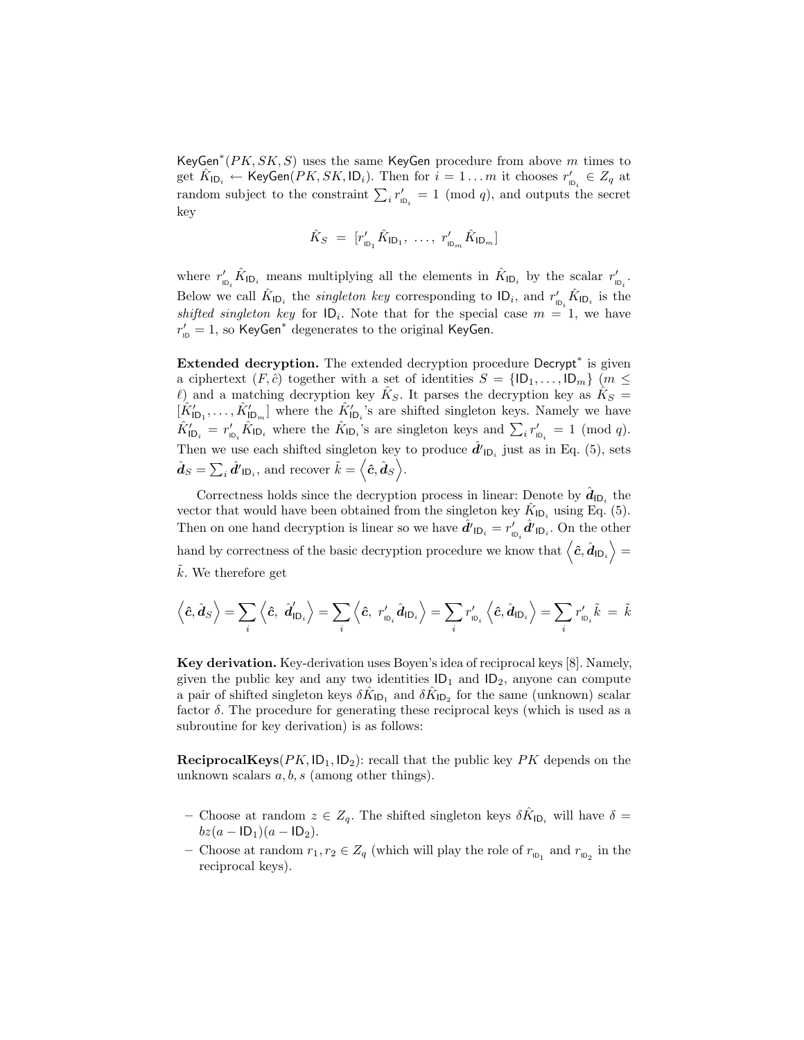KeyGen<sup>\*</sup>( $PK, SK, S$ ) uses the same KeyGen procedure from above m times to get  $\hat{K}_{\textsf{ID}_i} \leftarrow \textsf{KeyGen}(PK, SK, \textsf{ID}_i)$ . Then for  $i = 1 \dots m$  it chooses  $r''_n$  $U_{\mathsf{ID}_i} \in Z_q$  at random subject to the constraint  $\sum_i r'_\parallel$  $I_{\text{ID}_i}$  = 1 (mod q), and outputs the secret key

$$
\hat{K}_{S} = [r'_{D_1} \hat{K}_{D_1}, \ldots, r'_{D_m} \hat{K}_{D_m}]
$$

where  $r'_{\text{u}}$  $\hat{K}_{\mathsf{ID}_i}$  means multiplying all the elements in  $\hat{K}_{\mathsf{ID}_i}$  by the scalar  $r'_{\mathsf{ID}_i}$  $_{^{\mathsf{ID}_i}}.$ Below we call  $\hat{K}_{\mathsf{ID}_i}$  the *singleton key* corresponding to  $\mathsf{ID}_i$ , and  $r''$  $\int_{\mathsf{ID}_i} \hat{K}_{\mathsf{ID}_i}$  is the shifted singleton key for  $ID_i$ . Note that for the special case  $m = 1$ , we have  $r'_{\text{ID}} = 1$ , so KeyGen<sup>\*</sup> degenerates to the original KeyGen.

Extended decryption. The extended decryption procedure Decrypt<sup>\*</sup> is given a ciphertext  $(F, \hat{c})$  together with a set of identities  $S = \{ \mathsf{ID}_1, \ldots, \mathsf{ID}_m \}$  (m  $\leq$  $\ell$ ) and a matching decryption key  $\hat{K}_S$ . It parses the decryption key as  $\hat{K}_S$  =  $[\hat{K}'_{\text{ID}_1}, \ldots, \hat{K}'_{\text{ID}_m}]$  where the  $\hat{K}'_{\text{ID}_i}$ 's are shifted singleton keys. Namely we have  $\hat{K}_{\mathsf{ID}_i}' = r_{\mathsf{II}}'$  $\hat{K}_{\mathsf{ID}_i}$  where the  $\hat{K}_{\mathsf{ID}_i}$ 's are singleton keys and  $\sum_i r''_{\mathsf{ID}_i}$  $I_{\mathsf{ID}_i} = 1 \pmod{q}.$ Then we use each shifted singleton key to produce  $\hat{d}'_{{\rm 1D}_i}$  just as in Eq. (5), sets  $\hat{\boldsymbol{d}}_{S} = \sum_{i} \hat{\boldsymbol{d}}'_{\mathsf{ID}_{i}}, \text{ and recover } \tilde{k} = \left\langle \hat{\boldsymbol{c}}, \hat{\boldsymbol{d}}_{S} \right\rangle.$ 

Correctness holds since the decryption process in linear: Denote by  $\hat{d}_{\text{ID}_i}$  the vector that would have been obtained from the singleton key  $\hat{K}_{\mathsf{ID}_i}$  using Eq. (5). Then on one hand decryption is linear so we have  $\hat{d}'_{\text{ID}_i} = r'_{\text{ID}_i}$  $\hat{d'}_{\mathsf{ID}_i}$ . On the other hand by correctness of the basic decryption procedure we know that  $\langle \hat{c}, \hat{d}_{\vert D_i} \rangle =$  $k$ . We therefore get

$$
\left\langle \hat{c},\hat{d}_{S}\right\rangle =\sum_{i}\left\langle \hat{c},\ \hat{d}'_{\text{ID}_{i}}\right\rangle =\sum_{i}\left\langle \hat{c},\ r'_{\text{ID}_{i}}\hat{d}_{\text{ID}_{i}}\right\rangle =\sum_{i}r'_{\text{ID}_{i}}\left\langle \hat{c},\hat{d}_{\text{ID}_{i}}\right\rangle =\sum_{i}r'_{\text{ID}_{i}}\tilde{k}=\tilde{k}
$$

Key derivation. Key-derivation uses Boyen's idea of reciprocal keys [8]. Namely, given the public key and any two identities  $ID_1$  and  $ID_2$ , anyone can compute a pair of shifted singleton keys  $\delta\hat{K}_{\mathsf{ID}_1}$  and  $\delta\hat{K}_{\mathsf{ID}_2}$  for the same (unknown) scalar factor  $\delta$ . The procedure for generating these reciprocal keys (which is used as a subroutine for key derivation) is as follows:

**ReciprocalKeys**( $PK$ ,  $ID_1$ ,  $ID_2$ ): recall that the public key  $PK$  depends on the unknown scalars  $a, b, s$  (among other things).

- Choose at random  $z \in Z_q$ . The shifted singleton keys  $\delta \hat{K}_{\mathsf{ID}_i}$  will have  $\delta =$  $bz(a - 1D_1)(a - 1D_2).$
- − Choose at random  $r_1, r_2 \in Z_q$  (which will play the role of  $r_{\mathsf{ID}_1}$  and  $r_{\mathsf{ID}_2}$  in the reciprocal keys).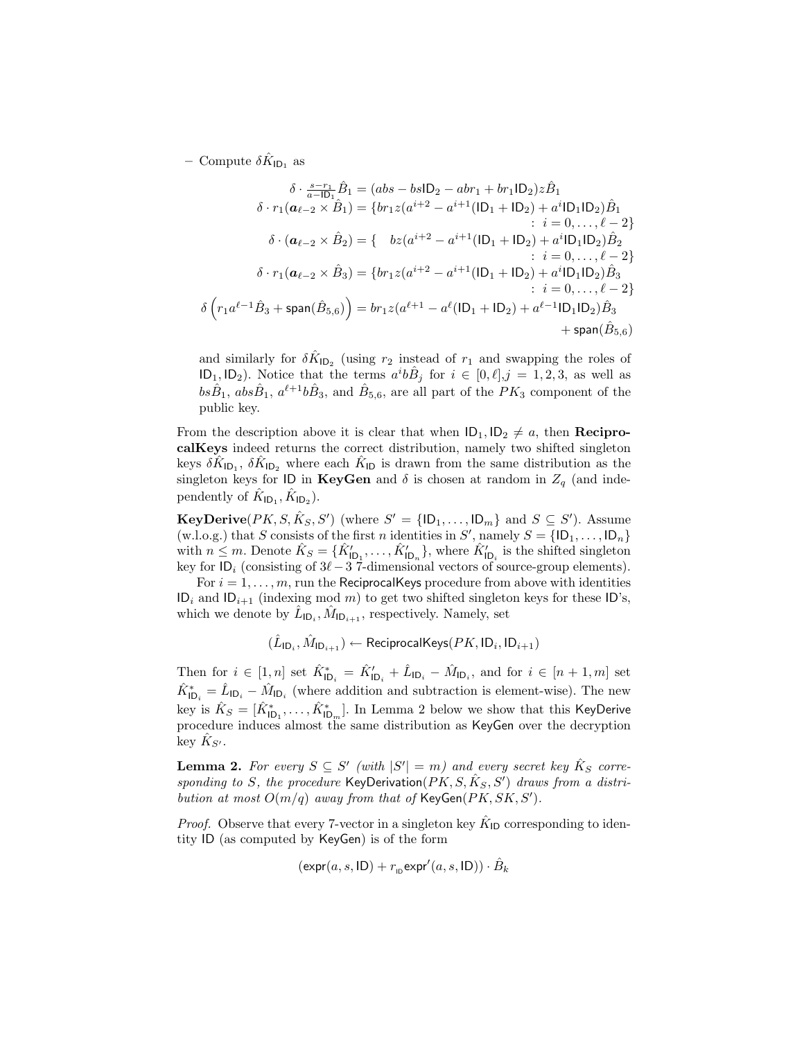– Compute  $\delta \hat{K}_{\mathsf{ID}_1}$  as

$$
\delta \cdot \frac{s-r_1}{a-\vert D_1}\hat{B}_1 = (abs - bs \vert D_2 - abr_1 + br_1 \vert D_2)z\hat{B}_1
$$
  
\n
$$
\delta \cdot r_1(a_{\ell-2} \times \hat{B}_1) = \{br_1z(a^{i+2} - a^{i+1}(\vert D_1 + \vert D_2) + a^i \vert D_1 \vert D_2)\hat{B}_1
$$
  
\n
$$
\vdots \quad i = 0, ..., \ell-2\}
$$
  
\n
$$
\delta \cdot (a_{\ell-2} \times \hat{B}_2) = \{ bz(a^{i+2} - a^{i+1}(\vert D_1 + \vert D_2) + a^i \vert D_1 \vert D_2)\hat{B}_2
$$
  
\n
$$
\vdots \quad i = 0, ..., \ell-2\}
$$
  
\n
$$
\delta \cdot r_1(a_{\ell-2} \times \hat{B}_3) = \{br_1z(a^{i+2} - a^{i+1}(\vert D_1 + \vert D_2) + a^i \vert D_1 \vert D_2)\hat{B}_3
$$
  
\n
$$
\vdots \quad i = 0, ..., \ell-2\}
$$
  
\n
$$
\delta \left(r_1a^{\ell-1}\hat{B}_3 + \text{span}(\hat{B}_{5,6})\right) = br_1z(a^{\ell+1} - a^{\ell}(\vert D_1 + \vert D_2) + a^{\ell-1}\vert D_1 \vert D_2)\hat{B}_3
$$
  
\n
$$
+ \text{span}(\hat{B}_{5,6})
$$

and similarly for  $\delta \hat{K}_{\mathsf{ID}_2}$  (using  $r_2$  instead of  $r_1$  and swapping the roles of  $ID_1, ID_2$ ). Notice that the terms  $a^i b\hat{B}_j$  for  $i \in [0, \ell], j = 1, 2, 3$ , as well as  $bs\hat{B}_1, \, abs\hat{B}_1, \, a^{\ell+1}b\hat{B}_3$ , and  $\hat{B}_{5,6}$ , are all part of the  $PK_3$  component of the public key.

From the description above it is clear that when  $ID_1, ID_2 \neq a$ , then **Recipro**calKeys indeed returns the correct distribution, namely two shifted singleton keys  $\delta \hat{K}_{\mathsf{ID}_1}$ ,  $\delta \hat{K}_{\mathsf{ID}_2}$  where each  $\hat{K}_{\mathsf{ID}}$  is drawn from the same distribution as the singleton keys for ID in KeyGen and  $\delta$  is chosen at random in  $Z_q$  (and independently of  $\hat{K}_{\mathsf{ID}_1}, \hat{K}_{\mathsf{ID}_2}$ ).

**KeyDerive**( $PK, S, \hat{K}_S, S'$ ) (where  $S' = \{ \mathsf{ID}_1, \ldots, \mathsf{ID}_m \}$  and  $S \subseteq S'$ ). Assume (w.l.o.g.) that S consists of the first n identities in S', namely  $S = \{ \mathsf{ID}_1, \ldots, \mathsf{ID}_n \}$ with  $n \leq m$ . Denote  $\hat{K}_S = \{\hat{K}_{\mathsf{ID}_1}', \ldots, \hat{K}_{\mathsf{ID}_n}'\}$ , where  $\hat{K}_{\mathsf{ID}_i}'$  is the shifted singleton key for  $ID_i$  (consisting of  $3\ell-3$  7-dimensional vectors of source-group elements).

For  $i = 1, \ldots, m$ , run the ReciprocalKeys procedure from above with identities ID<sub>i</sub> and ID<sub>i+1</sub> (indexing mod m) to get two shifted singleton keys for these ID's, which we denote by  $\hat{L}_{\mathsf{ID}_i}, \hat{M}_{\mathsf{ID}_{i+1}}$ , respectively. Namely, set

$$
(\hat{L}_{\mathsf{ID}_i},\hat{M}_{\mathsf{ID}_{i+1}}) \leftarrow \mathsf{ReciprocalKeys}(PK,\mathsf{ID}_i,\mathsf{ID}_{i+1})
$$

Then for  $i \in [1, n]$  set  $\hat{K}_{\mathsf{ID}_i}^* = \hat{K}_{\mathsf{ID}_i}' + \hat{L}_{\mathsf{ID}_i} - \hat{M}_{\mathsf{ID}_i}$ , and for  $i \in [n + 1, m]$  set  $\hat{K}_{\mathsf{ID}_i}^* = \hat{L}_{\mathsf{ID}_i} - \hat{M}_{\mathsf{ID}_i}$  (where addition and subtraction is element-wise). The new key is  $\hat{K}_S=[\hat{K}_{\textsf{ID}_1}^*,\ldots,\hat{K}_{\textsf{ID}_m}^*].$  In Lemma 2 below we show that this KeyDerive procedure induces almost the same distribution as KeyGen over the decryption key  $\hat{K}_{S'}$ .

**Lemma 2.** For every  $S \subseteq S'$  (with  $|S'| = m$ ) and every secret key  $\hat{K}_S$  corresponding to S, the procedure KeyDerivation( $PK, S, \hat{K}_S, S'$ ) draws from a distribution at most  $O(m/q)$  away from that of KeyGen(PK, SK, S').

*Proof.* Observe that every 7-vector in a singleton key  $\hat{K}_{\text{ID}}$  corresponding to identity ID (as computed by KeyGen) is of the form

$$
(\exp(r(a,s,\mathsf{ID})+r_{\mathsf{ID}}\exp r'(a,s,\mathsf{ID}))\cdot\hat{B}_k
$$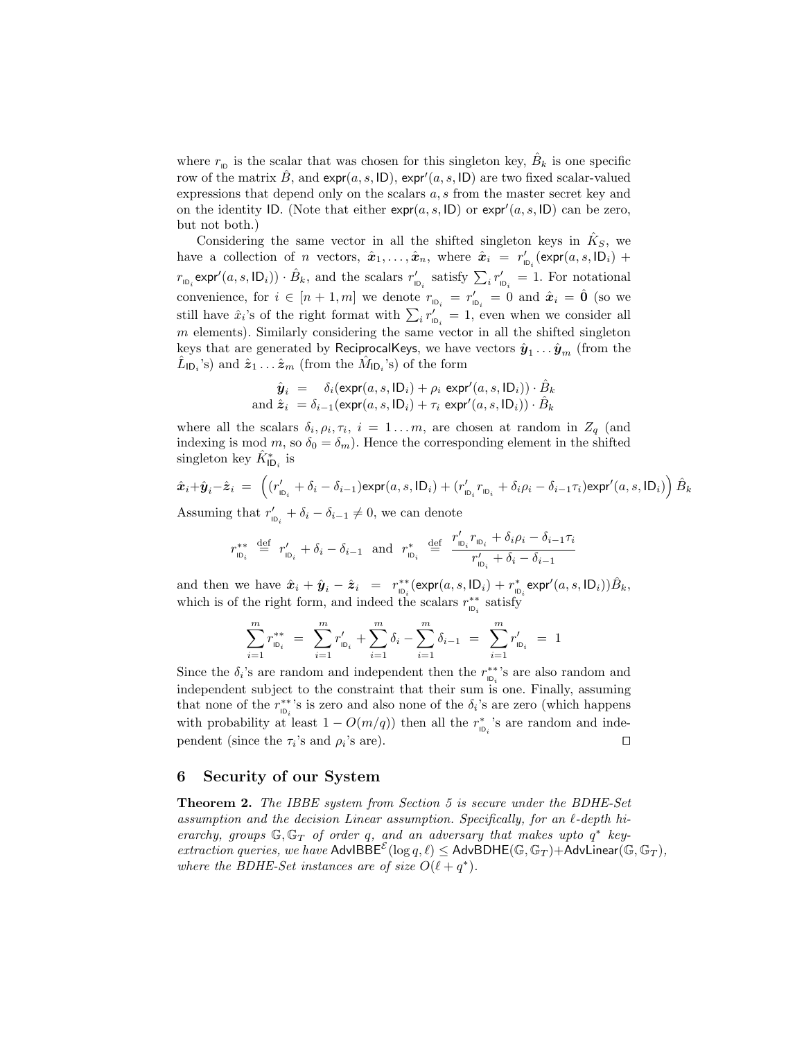where  $r_{\text{ID}}$  is the scalar that was chosen for this singleton key,  $\hat{B}_k$  is one specific row of the matrix  $\hat{B}$ , and  $\exp(r(a, s, \mathsf{ID})$ ,  $\exp(r(a, s, \mathsf{ID})$  are two fixed scalar-valued expressions that depend only on the scalars a, s from the master secret key and on the identity ID. (Note that either  $exp(r(a, s, ID)$  or  $expr'(a, s, ID)$  can be zero, but not both.)

Considering the same vector in all the shifted singleton keys in  $\hat{K}_S$ , we have a collection of *n* vectors,  $\hat{x}_1, \ldots, \hat{x}_n$ , where  $\hat{x}_i = r'_i$  $\int_{\text{ID}_i} \left( \text{expr}(a, s, \text{ID}_i) \right) +$  $r_{\mathsf{ID}_i}$ expr'(a, s, ID<sub>i</sub>)) ·  $\hat{B}_k$ , and the scalars  $r'_{\mathsf{ID}}$  $\sum_{i}$  satisfy  $\sum_{i} r'_{\parallel}$  $I_{\mathsf{ID}_i} = 1$ . For notational convenience, for  $i \in [n+1,m]$  we denote  $r_{\mathsf{ID}_i} = r'_{\mathsf{ID}_i}$  $\mathbf{I}_{\mathsf{ID}_i} = 0$  and  $\hat{\boldsymbol{x}}_i = \hat{\mathbf{0}}$  (so we still have  $\hat{x}_i$ 's of the right format with  $\sum_i r'_\parallel$  $I_{\text{ID}_i} = 1$ , even when we consider all  $m$  elements). Similarly considering the same vector in all the shifted singleton keys that are generated by ReciprocalKeys, we have vectors  $\hat{\bm{y}}_1 \ldots \hat{\bm{y}}_m$  (from the  $\hat{L}_{\mathsf{ID}_i}$ 's) and  $\hat{\mathsf{z}}_1 \dots \hat{\mathsf{z}}_m$  (from the  $\hat{M}_{\mathsf{ID}_i}$ 's) of the form

$$
\hat{\mathbf{y}}_i = \delta_i(\exp(a, s, \mathsf{ID}_i) + \rho_i \exp'(a, s, \mathsf{ID}_i)) \cdot \hat{B}_k
$$
\nand  $\hat{\mathbf{z}}_i = \delta_{i-1}(\exp(a, s, \mathsf{ID}_i) + \tau_i \exp'(a, s, \mathsf{ID}_i)) \cdot \hat{B}_k$ 

where all the scalars  $\delta_i, \rho_i, \tau_i, i = 1 \dots m$ , are chosen at random in  $Z_q$  (and indexing is mod m, so  $\delta_0 = \delta_m$ . Hence the corresponding element in the shifted singleton key  $\hat{K}_{\mathsf{ID}_i}^*$  is

$$
\hat{x}_i + \hat{y}_i - \hat{z}_i = \left( (r'_{\mathsf{ID}_i} + \delta_i - \delta_{i-1}) \exp(a, s, \mathsf{ID}_i) + (r'_{\mathsf{ID}_i} r_{\mathsf{ID}_i} + \delta_i \rho_i - \delta_{i-1} \tau_i) \exp'(a, s, \mathsf{ID}_i) \right) \hat{B}_k
$$
  
Assuming that  $r'_{\mathsf{ID}_i} + \delta_i - \delta_{i-1} \neq 0$ , we can denote

Assuming that  $r''$  $\delta_{\mathbf{1}_{\mathsf{D}_i}} + \delta_i - \delta_{i-1} \neq 0$ , we can denote

$$
r_{\text{ID}_i}^{**} \stackrel{\text{def}}{=} r_{\text{ID}_i}' + \delta_i - \delta_{i-1} \text{ and } r_{\text{ID}_i}^* \stackrel{\text{def}}{=} \frac{r_{\text{ID}_i}' r_{\text{ID}_i} + \delta_i \rho_i - \delta_{i-1} \tau_i}{r_{\text{ID}_i}' + \delta_i - \delta_{i-1}}
$$

and then we have  $\hat{x}_i + \hat{y}_i - \hat{z}_i = r_{\text{lb}_i}^{**}$  $\sum_{\mathsf{ID}_i}^{**}(\mathsf{expr}(a, s, \mathsf{ID}_i) + r^*_{\mathsf{ID}_i})$  $\sum_{\text{ID}_i}^* \exp(r'(a, s, \text{ID}_i))\hat{B}_k,$ which is of the right form, and indeed the scalars  $r_{\text{in}}^{**}$  $_{\text{ID}_i}^*$  satisfy

$$
\sum_{i=1}^{m} r_{\text{in}_i}^{**} \ = \ \sum_{i=1}^{m} r_{\text{in}_i} ' + \sum_{i=1}^{m} \delta_i - \sum_{i=1}^{m} \delta_{i-1} \ = \ \sum_{i=1}^{m} r_{\text{in}_i} ' \ = \ 1
$$

Since the  $\delta_i$ 's are random and independent then the  $r_{\text{in}}^{**}$  $\sum_{\mathsf{ID}_i}^{**}$ 's are also random and independent subject to the constraint that their sum is one. Finally, assuming that none of the  $r_{\rm in}^{**}$ \*\*'s is zero and also none of the  $\delta_i$ 's are zero (which happens with probability at least  $1 - O(m/q)$  then all the  $r_{\text{in}}^*$  $\sum_{\mathsf{ID}_i}^*$ 's are random and independent (since the  $\tau_i$ 's and  $\rho_i$ 's are).

## 6 Security of our System

Theorem 2. The IBBE system from Section 5 is secure under the BDHE-Set assumption and the decision Linear assumption. Specifically, for an  $\ell$ -depth hierarchy, groups  $\mathbb{G}, \mathbb{G}_T$  of order q, and an adversary that makes upto  $q^*$  keyextraction queries, we have  $\mathsf{AdvIBBE}^{\mathcal{E}}(\log q, \ell) \leq \mathsf{AdvBDHE}(\mathbb{G}, \mathbb{G}_T) + \mathsf{AdvLinear}(\mathbb{G}, \mathbb{G}_T)$ , where the BDHE-Set instances are of size  $O(\ell + q^*)$ .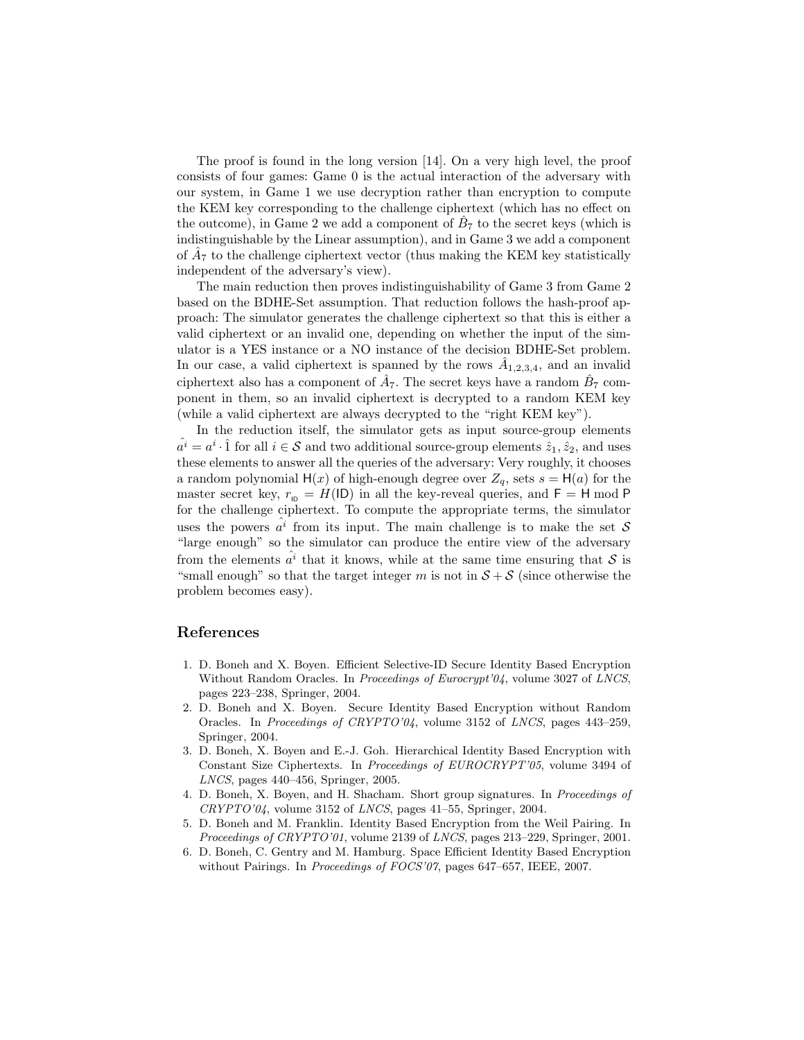The proof is found in the long version [14]. On a very high level, the proof consists of four games: Game 0 is the actual interaction of the adversary with our system, in Game 1 we use decryption rather than encryption to compute the KEM key corresponding to the challenge ciphertext (which has no effect on the outcome), in Game 2 we add a component of  $\hat{B}_7$  to the secret keys (which is indistinguishable by the Linear assumption), and in Game 3 we add a component of  $\hat{A}_7$  to the challenge ciphertext vector (thus making the KEM key statistically independent of the adversary's view).

The main reduction then proves indistinguishability of Game 3 from Game 2 based on the BDHE-Set assumption. That reduction follows the hash-proof approach: The simulator generates the challenge ciphertext so that this is either a valid ciphertext or an invalid one, depending on whether the input of the simulator is a YES instance or a NO instance of the decision BDHE-Set problem. In our case, a valid ciphertext is spanned by the rows  $\hat{A}_{1,2,3,4}$ , and an invalid ciphertext also has a component of  $\hat{A}_7$ . The secret keys have a random  $\hat{B}_7$  component in them, so an invalid ciphertext is decrypted to a random KEM key (while a valid ciphertext are always decrypted to the "right KEM key").

In the reduction itself, the simulator gets as input source-group elements  $\hat{a}^i = a^i \cdot \hat{1}$  for all  $i \in \mathcal{S}$  and two additional source-group elements  $\hat{z}_1, \hat{z}_2$ , and uses these elements to answer all the queries of the adversary: Very roughly, it chooses a random polynomial  $H(x)$  of high-enough degree over  $Z_q$ , sets  $s = H(a)$  for the master secret key,  $r_{\text{in}} = H(\text{ID})$  in all the key-reveal queries, and  $\text{F} = \text{H} \text{ mod } \text{P}$ for the challenge ciphertext. To compute the appropriate terms, the simulator uses the powers  $\hat{a}^i$  from its input. The main challenge is to make the set S "large enough" so the simulator can produce the entire view of the adversary from the elements  $\hat{a}^i$  that it knows, while at the same time ensuring that S is "small enough" so that the target integer m is not in  $S + S$  (since otherwise the problem becomes easy).

## References

- 1. D. Boneh and X. Boyen. Efficient Selective-ID Secure Identity Based Encryption Without Random Oracles. In *Proceedings of Eurocrypt'04*, volume 3027 of *LNCS*, pages 223–238, Springer, 2004.
- 2. D. Boneh and X. Boyen. Secure Identity Based Encryption without Random Oracles. In Proceedings of CRYPTO'04, volume 3152 of LNCS, pages 443–259, Springer, 2004.
- 3. D. Boneh, X. Boyen and E.-J. Goh. Hierarchical Identity Based Encryption with Constant Size Ciphertexts. In Proceedings of EUROCRYPT'05, volume 3494 of LNCS, pages 440–456, Springer, 2005.
- 4. D. Boneh, X. Boyen, and H. Shacham. Short group signatures. In Proceedings of  $CRYPTO'04$ , volume 3152 of  $LNCS$ , pages 41-55, Springer, 2004.
- 5. D. Boneh and M. Franklin. Identity Based Encryption from the Weil Pairing. In Proceedings of CRYPTO'01, volume 2139 of LNCS, pages 213–229, Springer, 2001.
- 6. D. Boneh, C. Gentry and M. Hamburg. Space Efficient Identity Based Encryption without Pairings. In Proceedings of FOCS'07, pages 647-657, IEEE, 2007.